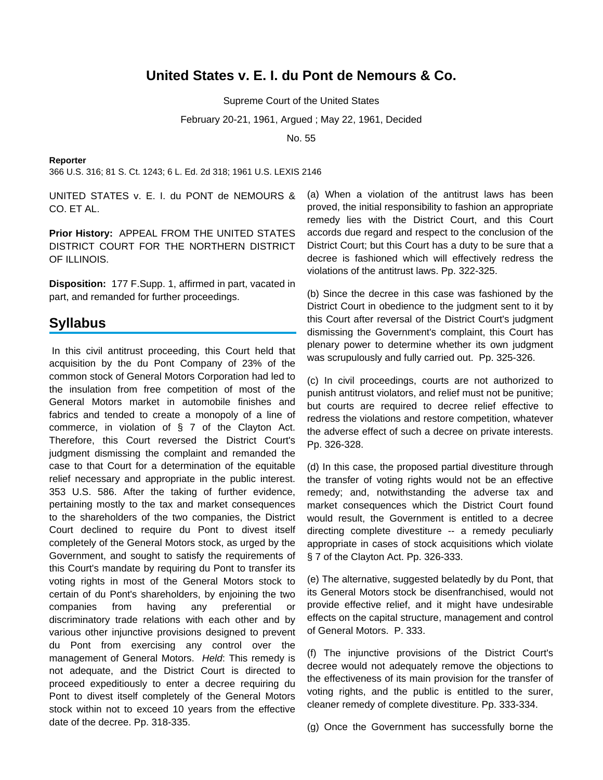# **United States v. E. I. du Pont de Nemours & Co.**

Supreme Court of the United States

February 20-21, 1961, Argued ; May 22, 1961, Decided

No. 55

### **Reporter**

366 U.S. 316; 81 S. Ct. 1243; 6 L. Ed. 2d 318; 1961 U.S. LEXIS 2146

UNITED STATES v. E. I. du PONT de NEMOURS & CO. ET AL.

**Prior History:** APPEAL FROM THE UNITED STATES DISTRICT COURT FOR THE NORTHERN DISTRICT OF ILLINOIS.

**Disposition:** 177 F.Supp. 1, affirmed in part, vacated in part, and remanded for further proceedings.

## **Syllabus**

In this civil antitrust proceeding, this Court held that acquisition by the du Pont Company of 23% of the common stock of General Motors Corporation had led to the insulation from free competition of most of the General Motors market in automobile finishes and fabrics and tended to create a monopoly of a line of commerce, in violation of § 7 of the Clayton Act. Therefore, this Court reversed the District Court's judgment dismissing the complaint and remanded the case to that Court for a determination of the equitable relief necessary and appropriate in the public interest. 353 U.S. 586. After the taking of further evidence, pertaining mostly to the tax and market consequences to the shareholders of the two companies, the District Court declined to require du Pont to divest itself completely of the General Motors stock, as urged by the Government, and sought to satisfy the requirements of this Court's mandate by requiring du Pont to transfer its voting rights in most of the General Motors stock to certain of du Pont's shareholders, by enjoining the two companies from having any preferential or discriminatory trade relations with each other and by various other injunctive provisions designed to prevent du Pont from exercising any control over the management of General Motors. Held: This remedy is not adequate, and the District Court is directed to proceed expeditiously to enter a decree requiring du Pont to divest itself completely of the General Motors stock within not to exceed 10 years from the effective date of the decree. Pp. 318-335.

(a) When a violation of the antitrust laws has been proved, the initial responsibility to fashion an appropriate remedy lies with the District Court, and this Court accords due regard and respect to the conclusion of the District Court; but this Court has a duty to be sure that a decree is fashioned which will effectively redress the violations of the antitrust laws. Pp. 322-325.

(b) Since the decree in this case was fashioned by the District Court in obedience to the judgment sent to it by this Court after reversal of the District Court's judgment dismissing the Government's complaint, this Court has plenary power to determine whether its own judgment was scrupulously and fully carried out. Pp. 325-326.

(c) In civil proceedings, courts are not authorized to punish antitrust violators, and relief must not be punitive; but courts are required to decree relief effective to redress the violations and restore competition, whatever the adverse effect of such a decree on private interests. Pp. 326-328.

(d) In this case, the proposed partial divestiture through the transfer of voting rights would not be an effective remedy; and, notwithstanding the adverse tax and market consequences which the District Court found would result, the Government is entitled to a decree directing complete divestiture -- a remedy peculiarly appropriate in cases of stock acquisitions which violate § 7 of the Clayton Act. Pp. 326-333.

(e) The alternative, suggested belatedly by du Pont, that its General Motors stock be disenfranchised, would not provide effective relief, and it might have undesirable effects on the capital structure, management and control of General Motors. P. 333.

(f) The injunctive provisions of the District Court's decree would not adequately remove the objections to the effectiveness of its main provision for the transfer of voting rights, and the public is entitled to the surer, cleaner remedy of complete divestiture. Pp. 333-334.

(g) Once the Government has successfully borne the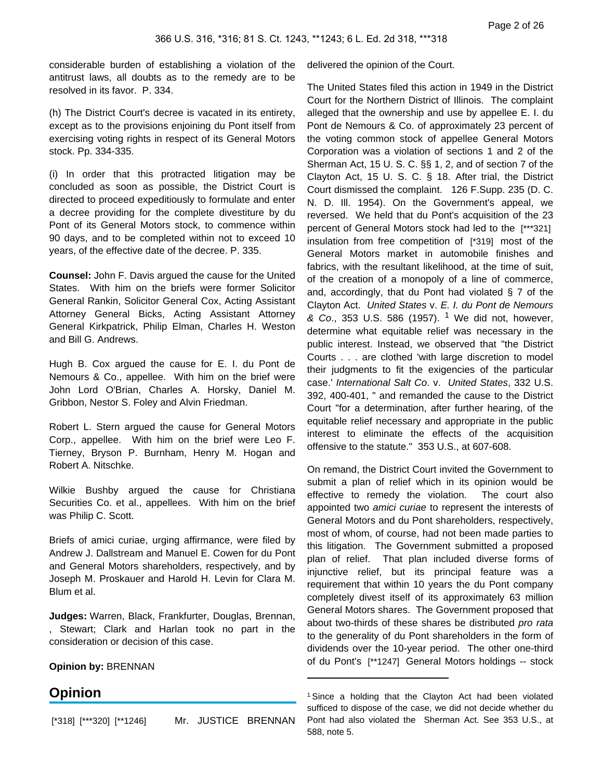considerable burden of establishing a violation of the antitrust laws, all doubts as to the remedy are to be resolved in its favor. P. 334.

(h) The District Court's decree is vacated in its entirety, except as to the provisions enjoining du Pont itself from exercising voting rights in respect of its General Motors stock. Pp. 334-335.

(i) In order that this protracted litigation may be concluded as soon as possible, the District Court is directed to proceed expeditiously to formulate and enter a decree providing for the complete divestiture by du Pont of its General Motors stock, to commence within 90 days, and to be completed within not to exceed 10 years, of the effective date of the decree. P. 335.

**Counsel:** John F. Davis argued the cause for the United States. With him on the briefs were former Solicitor General Rankin, Solicitor General Cox, Acting Assistant Attorney General Bicks, Acting Assistant Attorney General Kirkpatrick, Philip Elman, Charles H. Weston and Bill G. Andrews.

Hugh B. Cox argued the cause for E. I. du Pont de Nemours & Co., appellee. With him on the brief were John Lord O'Brian, Charles A. Horsky, Daniel M. Gribbon, Nestor S. Foley and Alvin Friedman.

Robert L. Stern argued the cause for General Motors Corp., appellee. With him on the brief were Leo F. Tierney, Bryson P. Burnham, Henry M. Hogan and Robert A. Nitschke.

Wilkie Bushby argued the cause for Christiana Securities Co. et al., appellees. With him on the brief was Philip C. Scott.

Briefs of amici curiae, urging affirmance, were filed by Andrew J. Dallstream and Manuel E. Cowen for du Pont and General Motors shareholders, respectively, and by Joseph M. Proskauer and Harold H. Levin for Clara M. Blum et al.

**Judges:** Warren, Black, Frankfurter, Douglas, Brennan, , Stewart; Clark and Harlan took no part in the consideration or decision of this case.

**Opinion by:** BRENNAN

# **Opinion**

[\*318] [\*\*\*320] [\*\*1246] Mr. JUSTICE BRENNAN

delivered the opinion of the Court.

The United States filed this action in 1949 in the District Court for the Northern District of Illinois. The complaint alleged that the ownership and use by appellee E. I. du Pont de Nemours & Co. of approximately 23 percent of the voting common stock of appellee General Motors Corporation was a violation of sections 1 and 2 of the Sherman Act, 15 U. S. C. §§ 1, 2, and of section 7 of the Clayton Act, 15 U. S. C. § 18. After trial, the District Court dismissed the complaint. 126 F.Supp. 235 (D. C. N. D. Ill. 1954). On the Government's appeal, we reversed. We held that du Pont's acquisition of the 23 percent of General Motors stock had led to the [\*\*\*321] insulation from free competition of [\*319] most of the General Motors market in automobile finishes and fabrics, with the resultant likelihood, at the time of suit, of the creation of a monopoly of a line of commerce, and, accordingly, that du Pont had violated § 7 of the Clayton Act. United States v. E. I. du Pont de Nemours & Co., 353 U.S. 586 (1957). <sup>1</sup> We did not, however, determine what equitable relief was necessary in the public interest. Instead, we observed that "the District Courts . . . are clothed 'with large discretion to model their judgments to fit the exigencies of the particular case.' International Salt Co. v. United States, 332 U.S. 392, 400-401, " and remanded the cause to the District Court "for a determination, after further hearing, of the equitable relief necessary and appropriate in the public interest to eliminate the effects of the acquisition offensive to the statute." 353 U.S., at 607-608.

On remand, the District Court invited the Government to submit a plan of relief which in its opinion would be effective to remedy the violation. The court also appointed two amici curiae to represent the interests of General Motors and du Pont shareholders, respectively, most of whom, of course, had not been made parties to this litigation. The Government submitted a proposed plan of relief. That plan included diverse forms of injunctive relief, but its principal feature was a requirement that within 10 years the du Pont company completely divest itself of its approximately 63 million General Motors shares. The Government proposed that about two-thirds of these shares be distributed pro rata to the generality of du Pont shareholders in the form of dividends over the 10-year period. The other one-third of du Pont's [\*\*1247] General Motors holdings -- stock

<sup>1</sup> Since a holding that the Clayton Act had been violated sufficed to dispose of the case, we did not decide whether du Pont had also violated the Sherman Act. See 353 U.S., at 588, note 5.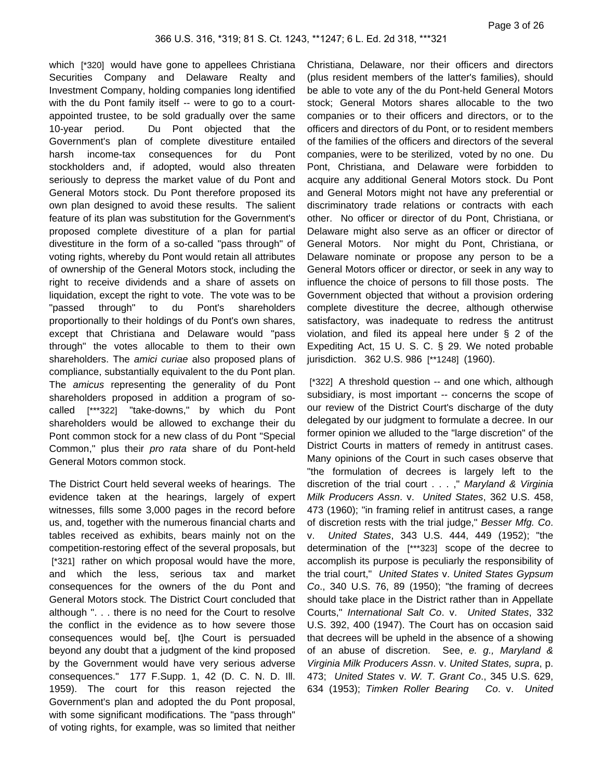which [\*320] would have gone to appellees Christiana Securities Company and Delaware Realty and Investment Company, holding companies long identified with the du Pont family itself -- were to go to a courtappointed trustee, to be sold gradually over the same 10-year period. Du Pont objected that the Government's plan of complete divestiture entailed harsh income-tax consequences for du Pont stockholders and, if adopted, would also threaten seriously to depress the market value of du Pont and General Motors stock. Du Pont therefore proposed its own plan designed to avoid these results. The salient feature of its plan was substitution for the Government's proposed complete divestiture of a plan for partial divestiture in the form of a so-called "pass through" of voting rights, whereby du Pont would retain all attributes of ownership of the General Motors stock, including the right to receive dividends and a share of assets on liquidation, except the right to vote. The vote was to be "passed through" to du Pont's shareholders proportionally to their holdings of du Pont's own shares, except that Christiana and Delaware would "pass through" the votes allocable to them to their own shareholders. The amici curiae also proposed plans of compliance, substantially equivalent to the du Pont plan. The amicus representing the generality of du Pont shareholders proposed in addition a program of socalled [\*\*\*322] "take-downs," by which du Pont shareholders would be allowed to exchange their du Pont common stock for a new class of du Pont "Special Common," plus their pro rata share of du Pont-held General Motors common stock.

The District Court held several weeks of hearings. The evidence taken at the hearings, largely of expert witnesses, fills some 3,000 pages in the record before us, and, together with the numerous financial charts and tables received as exhibits, bears mainly not on the competition-restoring effect of the several proposals, but [\*321] rather on which proposal would have the more, and which the less, serious tax and market consequences for the owners of the du Pont and General Motors stock. The District Court concluded that although ". . . there is no need for the Court to resolve the conflict in the evidence as to how severe those consequences would be[, t]he Court is persuaded beyond any doubt that a judgment of the kind proposed by the Government would have very serious adverse consequences." 177 F.Supp. 1, 42 (D. C. N. D. Ill. 1959). The court for this reason rejected the Government's plan and adopted the du Pont proposal, with some significant modifications. The "pass through" of voting rights, for example, was so limited that neither

Christiana, Delaware, nor their officers and directors (plus resident members of the latter's families), should be able to vote any of the du Pont-held General Motors stock; General Motors shares allocable to the two companies or to their officers and directors, or to the officers and directors of du Pont, or to resident members of the families of the officers and directors of the several companies, were to be sterilized, voted by no one. Du Pont, Christiana, and Delaware were forbidden to acquire any additional General Motors stock. Du Pont and General Motors might not have any preferential or discriminatory trade relations or contracts with each other. No officer or director of du Pont, Christiana, or Delaware might also serve as an officer or director of General Motors. Nor might du Pont, Christiana, or Delaware nominate or propose any person to be a General Motors officer or director, or seek in any way to influence the choice of persons to fill those posts. The Government objected that without a provision ordering complete divestiture the decree, although otherwise satisfactory, was inadequate to redress the antitrust violation, and filed its appeal here under § 2 of the Expediting Act, 15 U. S. C. § 29. We noted probable jurisdiction. 362 U.S. 986 [\*\*1248] (1960).

[\*322] A threshold question -- and one which, although subsidiary, is most important -- concerns the scope of our review of the District Court's discharge of the duty delegated by our judgment to formulate a decree. In our former opinion we alluded to the "large discretion" of the District Courts in matters of remedy in antitrust cases. Many opinions of the Court in such cases observe that "the formulation of decrees is largely left to the discretion of the trial court . . . ," Maryland & Virginia Milk Producers Assn. v. United States, 362 U.S. 458, 473 (1960); "in framing relief in antitrust cases, a range of discretion rests with the trial judge," Besser Mfg. Co. v. United States, 343 U.S. 444, 449 (1952); "the determination of the [\*\*\*323] scope of the decree to accomplish its purpose is peculiarly the responsibility of the trial court," United States v. United States Gypsum Co., 340 U.S. 76, 89 (1950); "the framing of decrees should take place in the District rather than in Appellate Courts," International Salt Co. v. United States, 332 U.S. 392, 400 (1947). The Court has on occasion said that decrees will be upheld in the absence of a showing of an abuse of discretion. See, e. g., Maryland & Virginia Milk Producers Assn. v. United States, supra, p. 473; United States v. W. T. Grant Co., 345 U.S. 629, 634 (1953); Timken Roller Bearing Co. v. United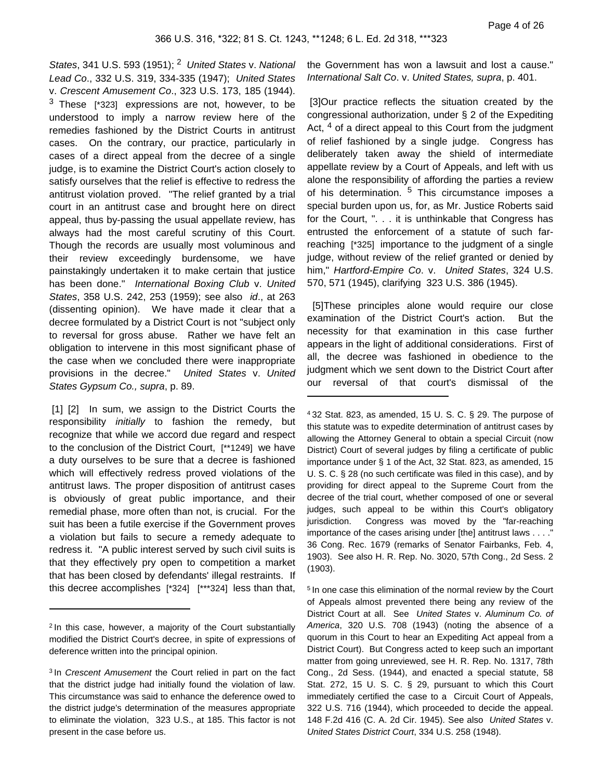States, 341 U.S. 593 (1951);  $2$  United States v. National Lead Co., 332 U.S. 319, 334-335 (1947); United States v. Crescent Amusement Co., 323 U.S. 173, 185 (1944).  $3$  These [\*323] expressions are not, however, to be understood to imply a narrow review here of the remedies fashioned by the District Courts in antitrust cases. On the contrary, our practice, particularly in cases of a direct appeal from the decree of a single judge, is to examine the District Court's action closely to satisfy ourselves that the relief is effective to redress the antitrust violation proved. "The relief granted by a trial court in an antitrust case and brought here on direct appeal, thus by-passing the usual appellate review, has always had the most careful scrutiny of this Court. Though the records are usually most voluminous and their review exceedingly burdensome, we have painstakingly undertaken it to make certain that justice has been done." International Boxing Club v. United States, 358 U.S. 242, 253 (1959); see also id., at 263 (dissenting opinion). We have made it clear that a decree formulated by a District Court is not "subject only to reversal for gross abuse. Rather we have felt an obligation to intervene in this most significant phase of the case when we concluded there were inappropriate provisions in the decree." United States v. United States Gypsum Co., supra, p. 89.

[1] [2] In sum, we assign to the District Courts the responsibility initially to fashion the remedy, but recognize that while we accord due regard and respect to the conclusion of the District Court, [\*\*1249] we have a duty ourselves to be sure that a decree is fashioned which will effectively redress proved violations of the antitrust laws. The proper disposition of antitrust cases is obviously of great public importance, and their remedial phase, more often than not, is crucial. For the suit has been a futile exercise if the Government proves a violation but fails to secure a remedy adequate to redress it. "A public interest served by such civil suits is that they effectively pry open to competition a market that has been closed by defendants' illegal restraints. If this decree accomplishes [\*324] [\*\*\*324] less than that,

the Government has won a lawsuit and lost a cause." International Salt Co. v. United States, supra, p. 401.

[3]Our practice reflects the situation created by the congressional authorization, under § 2 of the Expediting Act,  $4$  of a direct appeal to this Court from the judgment of relief fashioned by a single judge. Congress has deliberately taken away the shield of intermediate appellate review by a Court of Appeals, and left with us alone the responsibility of affording the parties a review of his determination.  $5$  This circumstance imposes a special burden upon us, for, as Mr. Justice Roberts said for the Court, ". . . it is unthinkable that Congress has entrusted the enforcement of a statute of such farreaching [\*325] importance to the judgment of a single judge, without review of the relief granted or denied by him," Hartford-Empire Co. v. United States, 324 U.S. 570, 571 (1945), clarifying 323 U.S. 386 (1945).

 [5]These principles alone would require our close examination of the District Court's action. But the necessity for that examination in this case further appears in the light of additional considerations. First of all, the decree was fashioned in obedience to the judgment which we sent down to the District Court after our reversal of that court's dismissal of the

<sup>&</sup>lt;sup>2</sup> In this case, however, a majority of the Court substantially modified the District Court's decree, in spite of expressions of deference written into the principal opinion.

<sup>&</sup>lt;sup>3</sup> In Crescent Amusement the Court relied in part on the fact that the district judge had initially found the violation of law. This circumstance was said to enhance the deference owed to the district judge's determination of the measures appropriate to eliminate the violation, 323 U.S., at 185. This factor is not present in the case before us.

<sup>4</sup> 32 Stat. 823, as amended, 15 U. S. C. § 29. The purpose of this statute was to expedite determination of antitrust cases by allowing the Attorney General to obtain a special Circuit (now District) Court of several judges by filing a certificate of public importance under § 1 of the Act, 32 Stat. 823, as amended, 15 U. S. C. § 28 (no such certificate was filed in this case), and by providing for direct appeal to the Supreme Court from the decree of the trial court, whether composed of one or several judges, such appeal to be within this Court's obligatory jurisdiction. Congress was moved by the "far-reaching importance of the cases arising under [the] antitrust laws . . . ." 36 Cong. Rec. 1679 (remarks of Senator Fairbanks, Feb. 4, 1903). See also H. R. Rep. No. 3020, 57th Cong., 2d Sess. 2 (1903).

<sup>5</sup> In one case this elimination of the normal review by the Court of Appeals almost prevented there being any review of the District Court at all. See United States v. Aluminum Co. of America, 320 U.S. 708 (1943) (noting the absence of a quorum in this Court to hear an Expediting Act appeal from a District Court). But Congress acted to keep such an important matter from going unreviewed, see H. R. Rep. No. 1317, 78th Cong., 2d Sess. (1944), and enacted a special statute, 58 Stat. 272, 15 U. S. C. § 29, pursuant to which this Court immediately certified the case to a Circuit Court of Appeals, 322 U.S. 716 (1944), which proceeded to decide the appeal. 148 F.2d 416 (C. A. 2d Cir. 1945). See also United States v. United States District Court, 334 U.S. 258 (1948).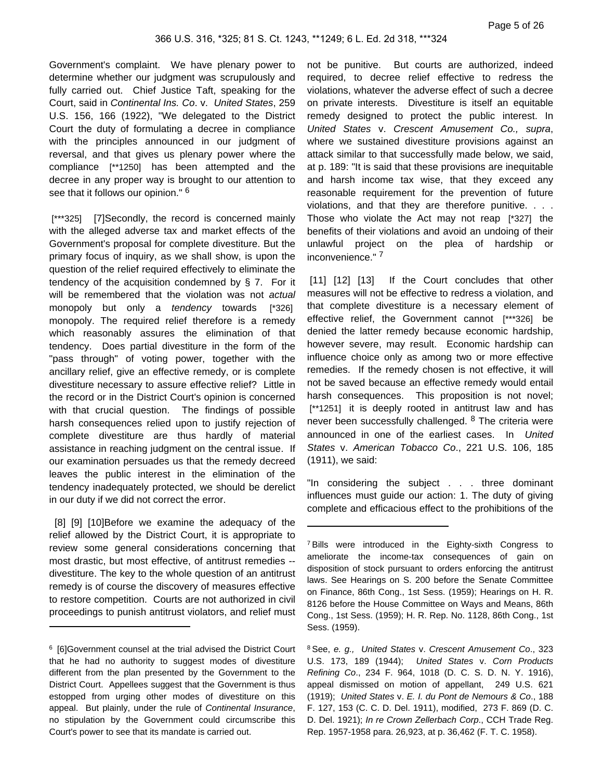Government's complaint. We have plenary power to determine whether our judgment was scrupulously and fully carried out. Chief Justice Taft, speaking for the Court, said in Continental Ins. Co. v. United States, 259 U.S. 156, 166 (1922), "We delegated to the District Court the duty of formulating a decree in compliance with the principles announced in our judgment of reversal, and that gives us plenary power where the compliance [\*\*1250] has been attempted and the decree in any proper way is brought to our attention to see that it follows our opinion." <sup>6</sup>

[\*\*\*325] [7]Secondly, the record is concerned mainly with the alleged adverse tax and market effects of the Government's proposal for complete divestiture. But the primary focus of inquiry, as we shall show, is upon the question of the relief required effectively to eliminate the tendency of the acquisition condemned by § 7. For it will be remembered that the violation was not actual monopoly but only a tendency towards [\*326] monopoly. The required relief therefore is a remedy which reasonably assures the elimination of that tendency. Does partial divestiture in the form of the "pass through" of voting power, together with the ancillary relief, give an effective remedy, or is complete divestiture necessary to assure effective relief? Little in the record or in the District Court's opinion is concerned with that crucial question. The findings of possible harsh consequences relied upon to justify rejection of complete divestiture are thus hardly of material assistance in reaching judgment on the central issue. If our examination persuades us that the remedy decreed leaves the public interest in the elimination of the tendency inadequately protected, we should be derelict in our duty if we did not correct the error.

 [8] [9] [10]Before we examine the adequacy of the relief allowed by the District Court, it is appropriate to review some general considerations concerning that most drastic, but most effective, of antitrust remedies - divestiture. The key to the whole question of an antitrust remedy is of course the discovery of measures effective to restore competition. Courts are not authorized in civil proceedings to punish antitrust violators, and relief must not be punitive. But courts are authorized, indeed required, to decree relief effective to redress the violations, whatever the adverse effect of such a decree on private interests. Divestiture is itself an equitable remedy designed to protect the public interest. In United States v. Crescent Amusement Co., supra, where we sustained divestiture provisions against an attack similar to that successfully made below, we said, at p. 189: "It is said that these provisions are inequitable and harsh income tax wise, that they exceed any reasonable requirement for the prevention of future violations, and that they are therefore punitive. . . . Those who violate the Act may not reap [\*327] the benefits of their violations and avoid an undoing of their unlawful project on the plea of hardship or inconvenience." <sup>7</sup>

[11] [12] [13] If the Court concludes that other measures will not be effective to redress a violation, and that complete divestiture is a necessary element of effective relief, the Government cannot [\*\*\*326] be denied the latter remedy because economic hardship, however severe, may result. Economic hardship can influence choice only as among two or more effective remedies. If the remedy chosen is not effective, it will not be saved because an effective remedy would entail harsh consequences. This proposition is not novel; [\*\*1251] it is deeply rooted in antitrust law and has never been successfully challenged. <sup>8</sup> The criteria were announced in one of the earliest cases. In United States v. American Tobacco Co., 221 U.S. 106, 185 (1911), we said:

"In considering the subject . . . three dominant influences must guide our action: 1. The duty of giving complete and efficacious effect to the prohibitions of the

8 See, e. g., United States v. Crescent Amusement Co., 323 U.S. 173, 189 (1944); United States v. Corn Products Refining Co., 234 F. 964, 1018 (D. C. S. D. N. Y. 1916), appeal dismissed on motion of appellant, 249 U.S. 621 (1919); United States v. E. I. du Pont de Nemours & Co., 188 F. 127, 153 (C. C. D. Del. 1911), modified, 273 F. 869 (D. C. D. Del. 1921); In re Crown Zellerbach Corp., CCH Trade Reg. Rep. 1957-1958 para. 26,923, at p. 36,462 (F. T. C. 1958).

<sup>&</sup>lt;sup>6</sup> [6]Government counsel at the trial advised the District Court that he had no authority to suggest modes of divestiture different from the plan presented by the Government to the District Court. Appellees suggest that the Government is thus estopped from urging other modes of divestiture on this appeal. But plainly, under the rule of Continental Insurance, no stipulation by the Government could circumscribe this Court's power to see that its mandate is carried out.

<sup>&</sup>lt;sup>7</sup> Bills were introduced in the Eighty-sixth Congress to ameliorate the income-tax consequences of gain on disposition of stock pursuant to orders enforcing the antitrust laws. See Hearings on S. 200 before the Senate Committee on Finance, 86th Cong., 1st Sess. (1959); Hearings on H. R. 8126 before the House Committee on Ways and Means, 86th Cong., 1st Sess. (1959); H. R. Rep. No. 1128, 86th Cong., 1st Sess. (1959).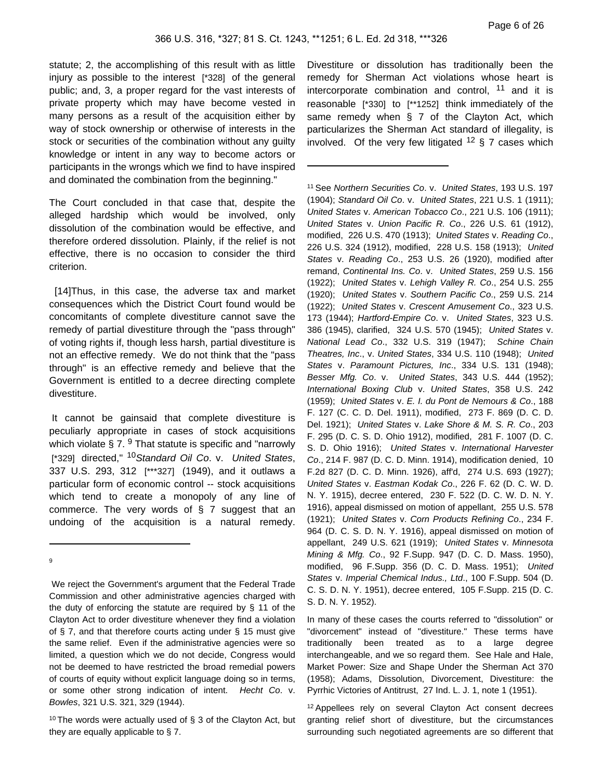statute; 2, the accomplishing of this result with as little injury as possible to the interest [\*328] of the general public; and, 3, a proper regard for the vast interests of private property which may have become vested in many persons as a result of the acquisition either by way of stock ownership or otherwise of interests in the stock or securities of the combination without any guilty knowledge or intent in any way to become actors or participants in the wrongs which we find to have inspired and dominated the combination from the beginning."

The Court concluded in that case that, despite the alleged hardship which would be involved, only dissolution of the combination would be effective, and therefore ordered dissolution. Plainly, if the relief is not effective, there is no occasion to consider the third criterion.

 [14]Thus, in this case, the adverse tax and market consequences which the District Court found would be concomitants of complete divestiture cannot save the remedy of partial divestiture through the "pass through" of voting rights if, though less harsh, partial divestiture is not an effective remedy. We do not think that the "pass through" is an effective remedy and believe that the Government is entitled to a decree directing complete divestiture.

It cannot be gainsaid that complete divestiture is peculiarly appropriate in cases of stock acquisitions which violate  $\S 7.9$  That statute is specific and "narrowly [\*329] directed," <sup>10</sup> Standard Oil Co. v. United States, 337 U.S. 293, 312 [\*\*\*327] (1949), and it outlaws a particular form of economic control -- stock acquisitions which tend to create a monopoly of any line of commerce. The very words of § 7 suggest that an undoing of the acquisition is a natural remedy.

9

We reject the Government's argument that the Federal Trade Commission and other administrative agencies charged with the duty of enforcing the statute are required by § 11 of the Clayton Act to order divestiture whenever they find a violation of § 7, and that therefore courts acting under § 15 must give the same relief. Even if the administrative agencies were so limited, a question which we do not decide, Congress would not be deemed to have restricted the broad remedial powers of courts of equity without explicit language doing so in terms, or some other strong indication of intent. Hecht Co. v. Bowles, 321 U.S. 321, 329 (1944).

<sup>10</sup> The words were actually used of  $\S$  3 of the Clayton Act, but they are equally applicable to § 7.

Divestiture or dissolution has traditionally been the remedy for Sherman Act violations whose heart is intercorporate combination and control, <sup>11</sup> and it is reasonable [\*330] to [\*\*1252] think immediately of the same remedy when § 7 of the Clayton Act, which particularizes the Sherman Act standard of illegality, is involved. Of the very few litigated  $12 \,$ § 7 cases which

<sup>11</sup> See Northern Securities Co. v. United States, 193 U.S. 197 (1904); Standard Oil Co. v. United States, 221 U.S. 1 (1911); United States v. American Tobacco Co., 221 U.S. 106 (1911); United States v. Union Pacific R. Co., 226 U.S. 61 (1912), modified, 226 U.S. 470 (1913); United States v. Reading Co., 226 U.S. 324 (1912), modified, 228 U.S. 158 (1913); United States v. Reading Co., 253 U.S. 26 (1920), modified after remand, Continental Ins. Co. v. United States, 259 U.S. 156 (1922); United States v. Lehigh Valley R. Co., 254 U.S. 255 (1920); United States v. Southern Pacific Co., 259 U.S. 214 (1922); United States v. Crescent Amusement Co., 323 U.S. 173 (1944); Hartford-Empire Co. v. United States, 323 U.S. 386 (1945), clarified, 324 U.S. 570 (1945); United States v. National Lead Co., 332 U.S. 319 (1947); Schine Chain Theatres, Inc., v. United States, 334 U.S. 110 (1948); United States v. Paramount Pictures, Inc., 334 U.S. 131 (1948); Besser Mfg. Co. v. United States, 343 U.S. 444 (1952); International Boxing Club v. United States, 358 U.S. 242 (1959); United States v. E. I. du Pont de Nemours & Co., 188 F. 127 (C. C. D. Del. 1911), modified, 273 F. 869 (D. C. D. Del. 1921); United States v. Lake Shore & M. S. R. Co., 203 F. 295 (D. C. S. D. Ohio 1912), modified, 281 F. 1007 (D. C. S. D. Ohio 1916); United States v. International Harvester Co., 214 F. 987 (D. C. D. Minn. 1914), modification denied, 10 F.2d 827 (D. C. D. Minn. 1926), aff'd, 274 U.S. 693 (1927); United States v. Eastman Kodak Co., 226 F. 62 (D. C. W. D. N. Y. 1915), decree entered, 230 F. 522 (D. C. W. D. N. Y. 1916), appeal dismissed on motion of appellant, 255 U.S. 578 (1921); United States v. Corn Products Refining Co., 234 F. 964 (D. C. S. D. N. Y. 1916), appeal dismissed on motion of appellant, 249 U.S. 621 (1919); United States v. Minnesota Mining & Mfg. Co., 92 F.Supp. 947 (D. C. D. Mass. 1950), modified, 96 F.Supp. 356 (D. C. D. Mass. 1951); United States v. Imperial Chemical Indus., Ltd., 100 F.Supp. 504 (D. C. S. D. N. Y. 1951), decree entered, 105 F.Supp. 215 (D. C. S. D. N. Y. 1952).

In many of these cases the courts referred to "dissolution" or "divorcement" instead of "divestiture." These terms have traditionally been treated as to a large degree interchangeable, and we so regard them. See Hale and Hale, Market Power: Size and Shape Under the Sherman Act 370 (1958); Adams, Dissolution, Divorcement, Divestiture: the Pyrrhic Victories of Antitrust, 27 Ind. L. J. 1, note 1 (1951).

<sup>12</sup> Appellees rely on several Clayton Act consent decrees granting relief short of divestiture, but the circumstances surrounding such negotiated agreements are so different that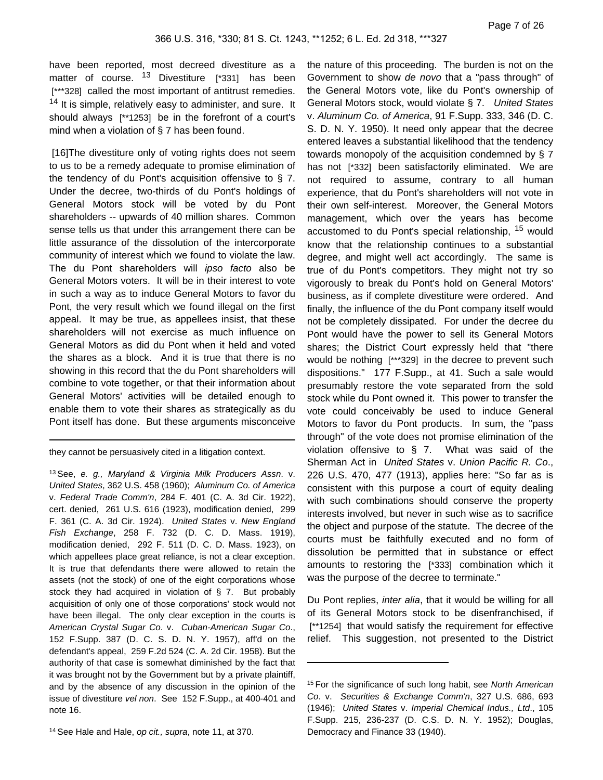have been reported, most decreed divestiture as a matter of course. <sup>13</sup> Divestiture [\*331] has been [\*\*\*328] called the most important of antitrust remedies.  $14$  It is simple, relatively easy to administer, and sure. It should always [\*\*1253] be in the forefront of a court's mind when a violation of § 7 has been found.

[16]The divestiture only of voting rights does not seem to us to be a remedy adequate to promise elimination of the tendency of du Pont's acquisition offensive to § 7. Under the decree, two-thirds of du Pont's holdings of General Motors stock will be voted by du Pont shareholders -- upwards of 40 million shares. Common sense tells us that under this arrangement there can be little assurance of the dissolution of the intercorporate community of interest which we found to violate the law. The du Pont shareholders will *ipso facto* also be General Motors voters. It will be in their interest to vote in such a way as to induce General Motors to favor du Pont, the very result which we found illegal on the first appeal. It may be true, as appellees insist, that these shareholders will not exercise as much influence on General Motors as did du Pont when it held and voted the shares as a block. And it is true that there is no showing in this record that the du Pont shareholders will combine to vote together, or that their information about General Motors' activities will be detailed enough to enable them to vote their shares as strategically as du Pont itself has done. But these arguments misconceive

they cannot be persuasively cited in a litigation context.

<sup>14</sup> See Hale and Hale, op cit., supra, note 11, at 370.

the nature of this proceeding. The burden is not on the Government to show de novo that a "pass through" of the General Motors vote, like du Pont's ownership of General Motors stock, would violate § 7. United States v. Aluminum Co. of America, 91 F.Supp. 333, 346 (D. C. S. D. N. Y. 1950). It need only appear that the decree entered leaves a substantial likelihood that the tendency towards monopoly of the acquisition condemned by § 7 has not [\*332] been satisfactorily eliminated. We are not required to assume, contrary to all human experience, that du Pont's shareholders will not vote in their own self-interest. Moreover, the General Motors management, which over the years has become accustomed to du Pont's special relationship, <sup>15</sup> would know that the relationship continues to a substantial degree, and might well act accordingly. The same is true of du Pont's competitors. They might not try so vigorously to break du Pont's hold on General Motors' business, as if complete divestiture were ordered. And finally, the influence of the du Pont company itself would not be completely dissipated. For under the decree du Pont would have the power to sell its General Motors shares; the District Court expressly held that "there would be nothing [\*\*\*329] in the decree to prevent such dispositions." 177 F.Supp., at 41. Such a sale would presumably restore the vote separated from the sold stock while du Pont owned it. This power to transfer the vote could conceivably be used to induce General Motors to favor du Pont products. In sum, the "pass through" of the vote does not promise elimination of the violation offensive to § 7. What was said of the Sherman Act in United States v. Union Pacific R. Co., 226 U.S. 470, 477 (1913), applies here: "So far as is consistent with this purpose a court of equity dealing with such combinations should conserve the property interests involved, but never in such wise as to sacrifice the object and purpose of the statute. The decree of the courts must be faithfully executed and no form of dissolution be permitted that in substance or effect amounts to restoring the [\*333] combination which it was the purpose of the decree to terminate."

Du Pont replies, *inter alia*, that it would be willing for all of its General Motors stock to be disenfranchised, if [\*\*1254] that would satisfy the requirement for effective relief. This suggestion, not presented to the District

<sup>13</sup> See, e. g., Maryland & Virginia Milk Producers Assn. v. United States, 362 U.S. 458 (1960); Aluminum Co. of America v. Federal Trade Comm'n, 284 F. 401 (C. A. 3d Cir. 1922), cert. denied, 261 U.S. 616 (1923), modification denied, 299 F. 361 (C. A. 3d Cir. 1924). United States v. New England Fish Exchange, 258 F. 732 (D. C. D. Mass. 1919), modification denied, 292 F. 511 (D. C. D. Mass. 1923), on which appellees place great reliance, is not a clear exception. It is true that defendants there were allowed to retain the assets (not the stock) of one of the eight corporations whose stock they had acquired in violation of § 7. But probably acquisition of only one of those corporations' stock would not have been illegal. The only clear exception in the courts is American Crystal Sugar Co. v. Cuban-American Sugar Co., 152 F.Supp. 387 (D. C. S. D. N. Y. 1957), aff'd on the defendant's appeal, 259 F.2d 524 (C. A. 2d Cir. 1958). But the authority of that case is somewhat diminished by the fact that it was brought not by the Government but by a private plaintiff, and by the absence of any discussion in the opinion of the issue of divestiture vel non. See 152 F.Supp., at 400-401 and note 16.

<sup>&</sup>lt;sup>15</sup> For the significance of such long habit, see North American Co. v. Securities & Exchange Comm'n, 327 U.S. 686, 693 (1946); United States v. Imperial Chemical Indus., Ltd., 105 F.Supp. 215, 236-237 (D. C.S. D. N. Y. 1952); Douglas, Democracy and Finance 33 (1940).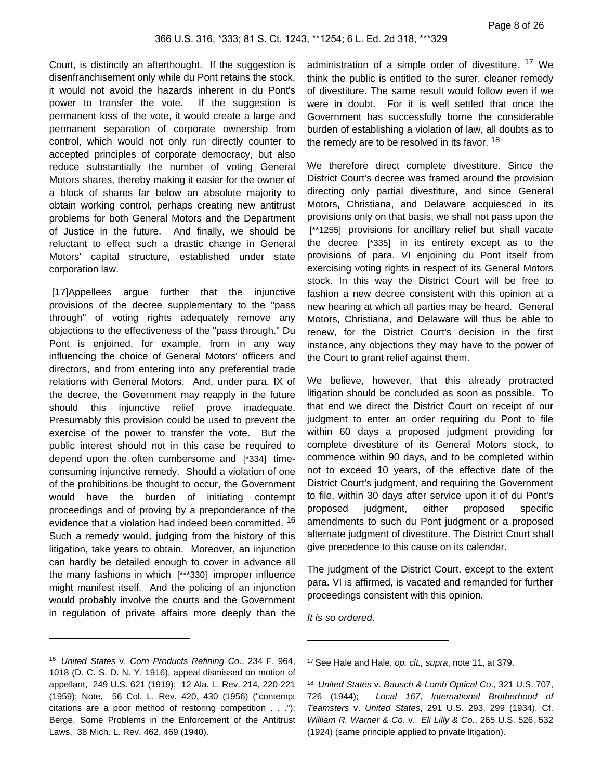Court, is distinctly an afterthought. If the suggestion is disenfranchisement only while du Pont retains the stock, it would not avoid the hazards inherent in du Pont's power to transfer the vote. If the suggestion is permanent loss of the vote, it would create a large and permanent separation of corporate ownership from control, which would not only run directly counter to accepted principles of corporate democracy, but also reduce substantially the number of voting General Motors shares, thereby making it easier for the owner of a block of shares far below an absolute majority to obtain working control, perhaps creating new antitrust problems for both General Motors and the Department of Justice in the future. And finally, we should be reluctant to effect such a drastic change in General Motors' capital structure, established under state corporation law.

[17]Appellees argue further that the injunctive provisions of the decree supplementary to the "pass through" of voting rights adequately remove any objections to the effectiveness of the "pass through." Du Pont is enjoined, for example, from in any way influencing the choice of General Motors' officers and directors, and from entering into any preferential trade relations with General Motors. And, under para. IX of the decree, the Government may reapply in the future should this injunctive relief prove inadequate. Presumably this provision could be used to prevent the exercise of the power to transfer the vote. But the public interest should not in this case be required to depend upon the often cumbersome and [\*334] timeconsuming injunctive remedy. Should a violation of one of the prohibitions be thought to occur, the Government would have the burden of initiating contempt proceedings and of proving by a preponderance of the evidence that a violation had indeed been committed. <sup>16</sup> Such a remedy would, judging from the history of this litigation, take years to obtain. Moreover, an injunction can hardly be detailed enough to cover in advance all the many fashions in which [\*\*\*330] improper influence might manifest itself. And the policing of an injunction would probably involve the courts and the Government in regulation of private affairs more deeply than the

administration of a simple order of divestiture. <sup>17</sup> We think the public is entitled to the surer, cleaner remedy of divestiture. The same result would follow even if we were in doubt. For it is well settled that once the Government has successfully borne the considerable burden of establishing a violation of law, all doubts as to the remedy are to be resolved in its favor. <sup>18</sup>

We therefore direct complete divestiture. Since the District Court's decree was framed around the provision directing only partial divestiture, and since General Motors, Christiana, and Delaware acquiesced in its provisions only on that basis, we shall not pass upon the [\*\*1255] provisions for ancillary relief but shall vacate the decree [\*335] in its entirety except as to the provisions of para. VI enjoining du Pont itself from exercising voting rights in respect of its General Motors stock. In this way the District Court will be free to fashion a new decree consistent with this opinion at a new hearing at which all parties may be heard. General Motors, Christiana, and Delaware will thus be able to renew, for the District Court's decision in the first instance, any objections they may have to the power of the Court to grant relief against them.

We believe, however, that this already protracted litigation should be concluded as soon as possible. To that end we direct the District Court on receipt of our judgment to enter an order requiring du Pont to file within 60 days a proposed judgment providing for complete divestiture of its General Motors stock, to commence within 90 days, and to be completed within not to exceed 10 years, of the effective date of the District Court's judgment, and requiring the Government to file, within 30 days after service upon it of du Pont's proposed judgment, either proposed specific amendments to such du Pont judgment or a proposed alternate judgment of divestiture. The District Court shall give precedence to this cause on its calendar.

The judgment of the District Court, except to the extent para. VI is affirmed, is vacated and remanded for further proceedings consistent with this opinion.

It is so ordered.

<sup>16</sup> United States v. Corn Products Refining Co., 234 F. 964, 1018 (D. C. S. D. N. Y. 1916), appeal dismissed on motion of appellant, 249 U.S. 621 (1919); 12 Ala. L. Rev. 214, 220-221 (1959); Note, 56 Col. L. Rev. 420, 430 (1956) ("contempt citations are a poor method of restoring competition . . ."); Berge, Some Problems in the Enforcement of the Antitrust Laws, 38 Mich. L. Rev. 462, 469 (1940).

<sup>&</sup>lt;sup>17</sup> See Hale and Hale, op. cit., supra, note 11, at 379.

<sup>18</sup> United States v. Bausch & Lomb Optical Co., 321 U.S. 707, 726 (1944); Local 167, International Brotherhood of Teamsters v. United States, 291 U.S. 293, 299 (1934). Cf. William R. Warner & Co. v. Eli Lilly & Co., 265 U.S. 526, 532 (1924) (same principle applied to private litigation).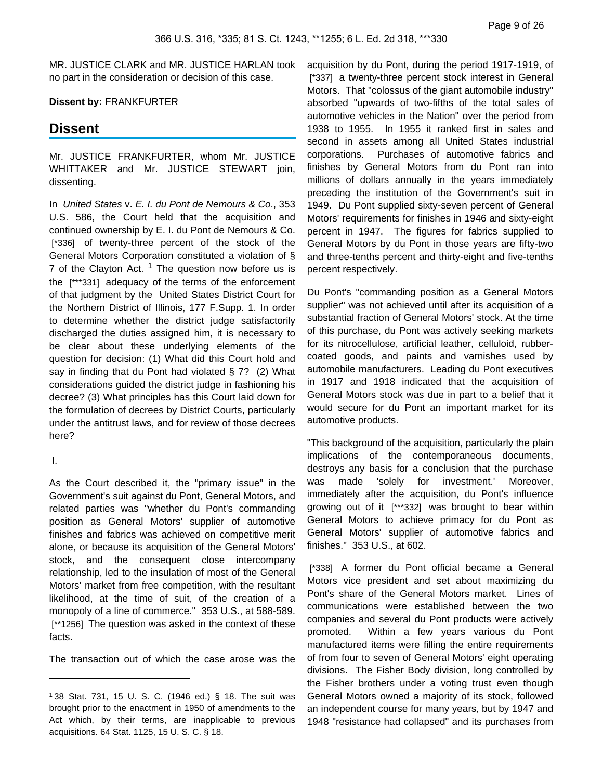MR. JUSTICE CLARK and MR. JUSTICE HARLAN took no part in the consideration or decision of this case.

### **Dissent by:** FRANKFURTER

## **Dissent**

Mr. JUSTICE FRANKFURTER, whom Mr. JUSTICE WHITTAKER and Mr. JUSTICE STEWART join, dissenting.

In United States v. E. I. du Pont de Nemours & Co., 353 U.S. 586, the Court held that the acquisition and continued ownership by E. I. du Pont de Nemours & Co. [\*336] of twenty-three percent of the stock of the General Motors Corporation constituted a violation of § 7 of the Clayton Act.  $1$  The question now before us is the [\*\*\*331] adequacy of the terms of the enforcement of that judgment by the United States District Court for the Northern District of Illinois, 177 F.Supp. 1. In order to determine whether the district judge satisfactorily discharged the duties assigned him, it is necessary to be clear about these underlying elements of the question for decision: (1) What did this Court hold and say in finding that du Pont had violated § 7? (2) What considerations guided the district judge in fashioning his decree? (3) What principles has this Court laid down for the formulation of decrees by District Courts, particularly under the antitrust laws, and for review of those decrees here?

I.

As the Court described it, the "primary issue" in the Government's suit against du Pont, General Motors, and related parties was "whether du Pont's commanding position as General Motors' supplier of automotive finishes and fabrics was achieved on competitive merit alone, or because its acquisition of the General Motors' stock, and the consequent close intercompany relationship, led to the insulation of most of the General Motors' market from free competition, with the resultant likelihood, at the time of suit, of the creation of a monopoly of a line of commerce." 353 U.S., at 588-589. [\*\*1256] The question was asked in the context of these facts.

The transaction out of which the case arose was the

acquisition by du Pont, during the period 1917-1919, of [\*337] a twenty-three percent stock interest in General Motors. That "colossus of the giant automobile industry" absorbed "upwards of two-fifths of the total sales of automotive vehicles in the Nation" over the period from 1938 to 1955. In 1955 it ranked first in sales and second in assets among all United States industrial corporations. Purchases of automotive fabrics and finishes by General Motors from du Pont ran into millions of dollars annually in the years immediately preceding the institution of the Government's suit in 1949. Du Pont supplied sixty-seven percent of General Motors' requirements for finishes in 1946 and sixty-eight percent in 1947. The figures for fabrics supplied to General Motors by du Pont in those years are fifty-two and three-tenths percent and thirty-eight and five-tenths percent respectively.

Du Pont's "commanding position as a General Motors supplier" was not achieved until after its acquisition of a substantial fraction of General Motors' stock. At the time of this purchase, du Pont was actively seeking markets for its nitrocellulose, artificial leather, celluloid, rubbercoated goods, and paints and varnishes used by automobile manufacturers. Leading du Pont executives in 1917 and 1918 indicated that the acquisition of General Motors stock was due in part to a belief that it would secure for du Pont an important market for its automotive products.

"This background of the acquisition, particularly the plain implications of the contemporaneous documents, destroys any basis for a conclusion that the purchase was made 'solely for investment.' Moreover, immediately after the acquisition, du Pont's influence growing out of it [\*\*\*332] was brought to bear within General Motors to achieve primacy for du Pont as General Motors' supplier of automotive fabrics and finishes." 353 U.S., at 602.

[\*338] A former du Pont official became a General Motors vice president and set about maximizing du Pont's share of the General Motors market. Lines of communications were established between the two companies and several du Pont products were actively promoted. Within a few years various du Pont manufactured items were filling the entire requirements of from four to seven of General Motors' eight operating divisions. The Fisher Body division, long controlled by the Fisher brothers under a voting trust even though General Motors owned a majority of its stock, followed an independent course for many years, but by 1947 and 1948 "resistance had collapsed" and its purchases from

<sup>1</sup> 38 Stat. 731, 15 U. S. C. (1946 ed.) § 18. The suit was brought prior to the enactment in 1950 of amendments to the Act which, by their terms, are inapplicable to previous acquisitions. 64 Stat. 1125, 15 U. S. C. § 18.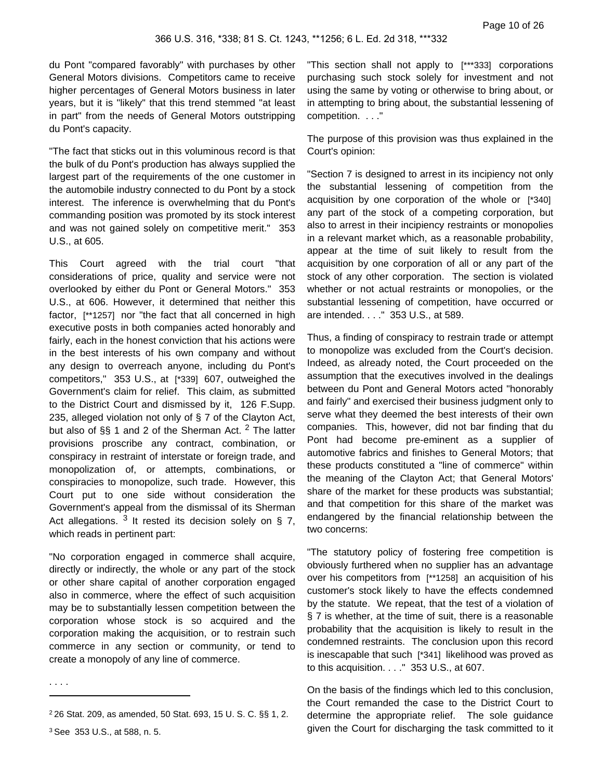du Pont "compared favorably" with purchases by other General Motors divisions. Competitors came to receive higher percentages of General Motors business in later years, but it is "likely" that this trend stemmed "at least in part" from the needs of General Motors outstripping du Pont's capacity.

"The fact that sticks out in this voluminous record is that the bulk of du Pont's production has always supplied the largest part of the requirements of the one customer in the automobile industry connected to du Pont by a stock interest. The inference is overwhelming that du Pont's commanding position was promoted by its stock interest and was not gained solely on competitive merit." 353 U.S., at 605.

This Court agreed with the trial court "that considerations of price, quality and service were not overlooked by either du Pont or General Motors." 353 U.S., at 606. However, it determined that neither this factor, [\*\*1257] nor "the fact that all concerned in high executive posts in both companies acted honorably and fairly, each in the honest conviction that his actions were in the best interests of his own company and without any design to overreach anyone, including du Pont's competitors," 353 U.S., at [\*339] 607, outweighed the Government's claim for relief. This claim, as submitted to the District Court and dismissed by it, 126 F.Supp. 235, alleged violation not only of § 7 of the Clayton Act, but also of §§ 1 and 2 of the Sherman Act. <sup>2</sup> The latter provisions proscribe any contract, combination, or conspiracy in restraint of interstate or foreign trade, and monopolization of, or attempts, combinations, or conspiracies to monopolize, such trade. However, this Court put to one side without consideration the Government's appeal from the dismissal of its Sherman Act allegations.  $3$  It rested its decision solely on § 7, which reads in pertinent part:

"No corporation engaged in commerce shall acquire, directly or indirectly, the whole or any part of the stock or other share capital of another corporation engaged also in commerce, where the effect of such acquisition may be to substantially lessen competition between the corporation whose stock is so acquired and the corporation making the acquisition, or to restrain such commerce in any section or community, or tend to create a monopoly of any line of commerce.

. . . .

"This section shall not apply to [\*\*\*333] corporations purchasing such stock solely for investment and not using the same by voting or otherwise to bring about, or in attempting to bring about, the substantial lessening of competition. . . ."

The purpose of this provision was thus explained in the Court's opinion:

"Section 7 is designed to arrest in its incipiency not only the substantial lessening of competition from the acquisition by one corporation of the whole or [\*340] any part of the stock of a competing corporation, but also to arrest in their incipiency restraints or monopolies in a relevant market which, as a reasonable probability, appear at the time of suit likely to result from the acquisition by one corporation of all or any part of the stock of any other corporation. The section is violated whether or not actual restraints or monopolies, or the substantial lessening of competition, have occurred or are intended. . . ." 353 U.S., at 589.

Thus, a finding of conspiracy to restrain trade or attempt to monopolize was excluded from the Court's decision. Indeed, as already noted, the Court proceeded on the assumption that the executives involved in the dealings between du Pont and General Motors acted "honorably and fairly" and exercised their business judgment only to serve what they deemed the best interests of their own companies. This, however, did not bar finding that du Pont had become pre-eminent as a supplier of automotive fabrics and finishes to General Motors; that these products constituted a "line of commerce" within the meaning of the Clayton Act; that General Motors' share of the market for these products was substantial; and that competition for this share of the market was endangered by the financial relationship between the two concerns:

"The statutory policy of fostering free competition is obviously furthered when no supplier has an advantage over his competitors from [\*\*1258] an acquisition of his customer's stock likely to have the effects condemned by the statute. We repeat, that the test of a violation of § 7 is whether, at the time of suit, there is a reasonable probability that the acquisition is likely to result in the condemned restraints. The conclusion upon this record is inescapable that such [\*341] likelihood was proved as to this acquisition. . . ." 353 U.S., at 607.

On the basis of the findings which led to this conclusion, the Court remanded the case to the District Court to determine the appropriate relief. The sole guidance given the Court for discharging the task committed to it

<sup>2</sup> 26 Stat. 209, as amended, 50 Stat. 693, 15 U. S. C. §§ 1, 2. <sup>3</sup> See 353 U.S., at 588, n. 5.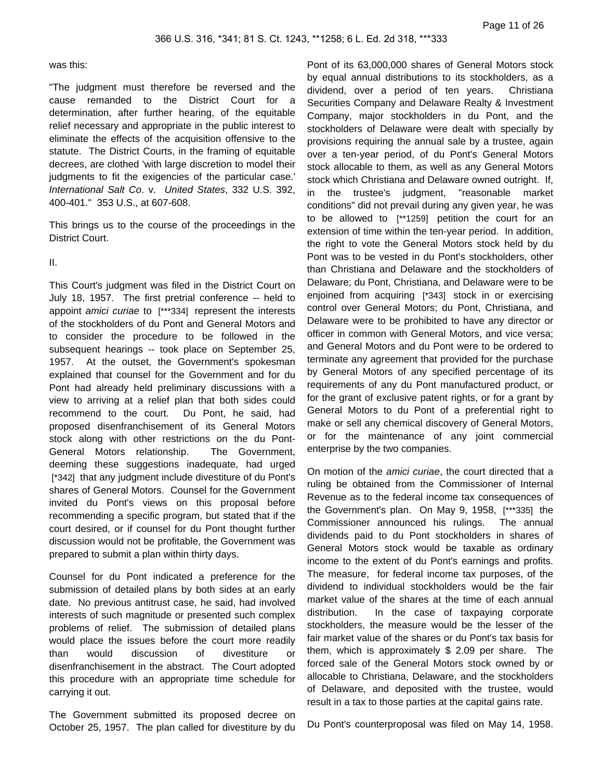#### was this:

"The judgment must therefore be reversed and the cause remanded to the District Court for a determination, after further hearing, of the equitable relief necessary and appropriate in the public interest to eliminate the effects of the acquisition offensive to the statute. The District Courts, in the framing of equitable decrees, are clothed 'with large discretion to model their judgments to fit the exigencies of the particular case.' International Salt Co. v. United States, 332 U.S. 392, 400-401." 353 U.S., at 607-608.

This brings us to the course of the proceedings in the District Court.

### II.

This Court's judgment was filed in the District Court on July 18, 1957. The first pretrial conference -- held to appoint amici curiae to [\*\*\*334] represent the interests of the stockholders of du Pont and General Motors and to consider the procedure to be followed in the subsequent hearings -- took place on September 25, 1957. At the outset, the Government's spokesman explained that counsel for the Government and for du Pont had already held preliminary discussions with a view to arriving at a relief plan that both sides could recommend to the court. Du Pont, he said, had proposed disenfranchisement of its General Motors stock along with other restrictions on the du Pont-General Motors relationship. The Government, deeming these suggestions inadequate, had urged [\*342] that any judgment include divestiture of du Pont's shares of General Motors. Counsel for the Government invited du Pont's views on this proposal before recommending a specific program, but stated that if the court desired, or if counsel for du Pont thought further discussion would not be profitable, the Government was prepared to submit a plan within thirty days.

Counsel for du Pont indicated a preference for the submission of detailed plans by both sides at an early date. No previous antitrust case, he said, had involved interests of such magnitude or presented such complex problems of relief. The submission of detailed plans would place the issues before the court more readily than would discussion of divestiture or disenfranchisement in the abstract. The Court adopted this procedure with an appropriate time schedule for carrying it out.

The Government submitted its proposed decree on October 25, 1957. The plan called for divestiture by du

Pont of its 63,000,000 shares of General Motors stock by equal annual distributions to its stockholders, as a dividend, over a period of ten years. Christiana Securities Company and Delaware Realty & Investment Company, major stockholders in du Pont, and the stockholders of Delaware were dealt with specially by provisions requiring the annual sale by a trustee, again over a ten-year period, of du Pont's General Motors stock allocable to them, as well as any General Motors stock which Christiana and Delaware owned outright. If, in the trustee's judgment, "reasonable market conditions" did not prevail during any given year, he was to be allowed to [\*\*1259] petition the court for an extension of time within the ten-year period. In addition, the right to vote the General Motors stock held by du Pont was to be vested in du Pont's stockholders, other than Christiana and Delaware and the stockholders of Delaware; du Pont, Christiana, and Delaware were to be enjoined from acquiring [\*343] stock in or exercising control over General Motors; du Pont, Christiana, and Delaware were to be prohibited to have any director or officer in common with General Motors, and vice versa; and General Motors and du Pont were to be ordered to terminate any agreement that provided for the purchase by General Motors of any specified percentage of its requirements of any du Pont manufactured product, or for the grant of exclusive patent rights, or for a grant by General Motors to du Pont of a preferential right to make or sell any chemical discovery of General Motors, or for the maintenance of any joint commercial enterprise by the two companies.

On motion of the amici curiae, the court directed that a ruling be obtained from the Commissioner of Internal Revenue as to the federal income tax consequences of the Government's plan. On May 9, 1958, [\*\*\*335] the Commissioner announced his rulings. The annual dividends paid to du Pont stockholders in shares of General Motors stock would be taxable as ordinary income to the extent of du Pont's earnings and profits. The measure, for federal income tax purposes, of the dividend to individual stockholders would be the fair market value of the shares at the time of each annual distribution. In the case of taxpaying corporate stockholders, the measure would be the lesser of the fair market value of the shares or du Pont's tax basis for them, which is approximately \$ 2.09 per share. The forced sale of the General Motors stock owned by or allocable to Christiana, Delaware, and the stockholders of Delaware, and deposited with the trustee, would result in a tax to those parties at the capital gains rate.

Du Pont's counterproposal was filed on May 14, 1958.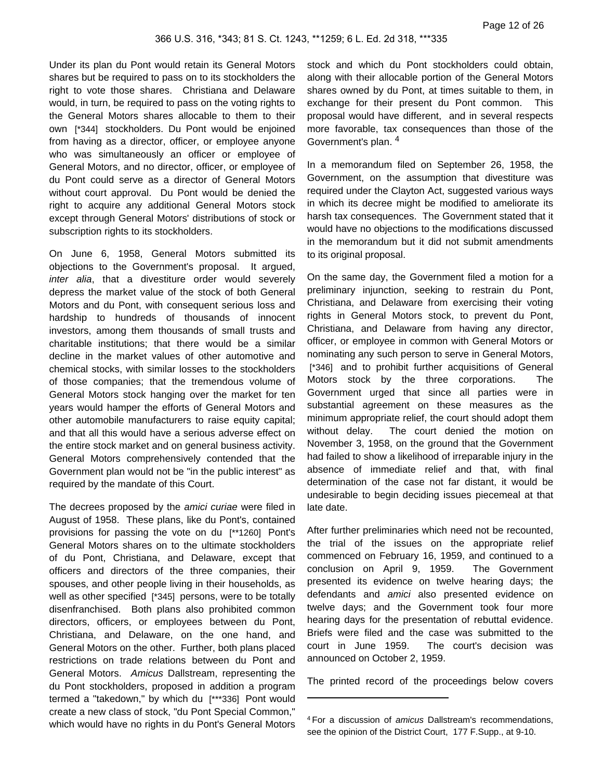Under its plan du Pont would retain its General Motors shares but be required to pass on to its stockholders the right to vote those shares. Christiana and Delaware would, in turn, be required to pass on the voting rights to the General Motors shares allocable to them to their own [\*344] stockholders. Du Pont would be enjoined from having as a director, officer, or employee anyone who was simultaneously an officer or employee of General Motors, and no director, officer, or employee of du Pont could serve as a director of General Motors without court approval. Du Pont would be denied the right to acquire any additional General Motors stock except through General Motors' distributions of stock or subscription rights to its stockholders.

On June 6, 1958, General Motors submitted its objections to the Government's proposal. It argued, inter alia, that a divestiture order would severely depress the market value of the stock of both General Motors and du Pont, with consequent serious loss and hardship to hundreds of thousands of innocent investors, among them thousands of small trusts and charitable institutions; that there would be a similar decline in the market values of other automotive and chemical stocks, with similar losses to the stockholders of those companies; that the tremendous volume of General Motors stock hanging over the market for ten years would hamper the efforts of General Motors and other automobile manufacturers to raise equity capital; and that all this would have a serious adverse effect on the entire stock market and on general business activity. General Motors comprehensively contended that the Government plan would not be "in the public interest" as required by the mandate of this Court.

The decrees proposed by the *amici curiae* were filed in August of 1958. These plans, like du Pont's, contained provisions for passing the vote on du [\*\*1260] Pont's General Motors shares on to the ultimate stockholders of du Pont, Christiana, and Delaware, except that officers and directors of the three companies, their spouses, and other people living in their households, as well as other specified [\*345] persons, were to be totally disenfranchised. Both plans also prohibited common directors, officers, or employees between du Pont, Christiana, and Delaware, on the one hand, and General Motors on the other. Further, both plans placed restrictions on trade relations between du Pont and General Motors. Amicus Dallstream, representing the du Pont stockholders, proposed in addition a program termed a "takedown," by which du [\*\*\*336] Pont would create a new class of stock, "du Pont Special Common," which would have no rights in du Pont's General Motors

stock and which du Pont stockholders could obtain, along with their allocable portion of the General Motors shares owned by du Pont, at times suitable to them, in exchange for their present du Pont common. This proposal would have different, and in several respects more favorable, tax consequences than those of the Government's plan. <sup>4</sup>

In a memorandum filed on September 26, 1958, the Government, on the assumption that divestiture was required under the Clayton Act, suggested various ways in which its decree might be modified to ameliorate its harsh tax consequences. The Government stated that it would have no objections to the modifications discussed in the memorandum but it did not submit amendments to its original proposal.

On the same day, the Government filed a motion for a preliminary injunction, seeking to restrain du Pont, Christiana, and Delaware from exercising their voting rights in General Motors stock, to prevent du Pont, Christiana, and Delaware from having any director, officer, or employee in common with General Motors or nominating any such person to serve in General Motors, [\*346] and to prohibit further acquisitions of General Motors stock by the three corporations. The Government urged that since all parties were in substantial agreement on these measures as the minimum appropriate relief, the court should adopt them without delay. The court denied the motion on November 3, 1958, on the ground that the Government had failed to show a likelihood of irreparable injury in the absence of immediate relief and that, with final determination of the case not far distant, it would be undesirable to begin deciding issues piecemeal at that late date.

After further preliminaries which need not be recounted, the trial of the issues on the appropriate relief commenced on February 16, 1959, and continued to a conclusion on April 9, 1959. The Government presented its evidence on twelve hearing days; the defendants and amici also presented evidence on twelve days; and the Government took four more hearing days for the presentation of rebuttal evidence. Briefs were filed and the case was submitted to the court in June 1959. The court's decision was announced on October 2, 1959.

The printed record of the proceedings below covers

<sup>4</sup> For a discussion of amicus Dallstream's recommendations, see the opinion of the District Court, 177 F.Supp., at 9-10.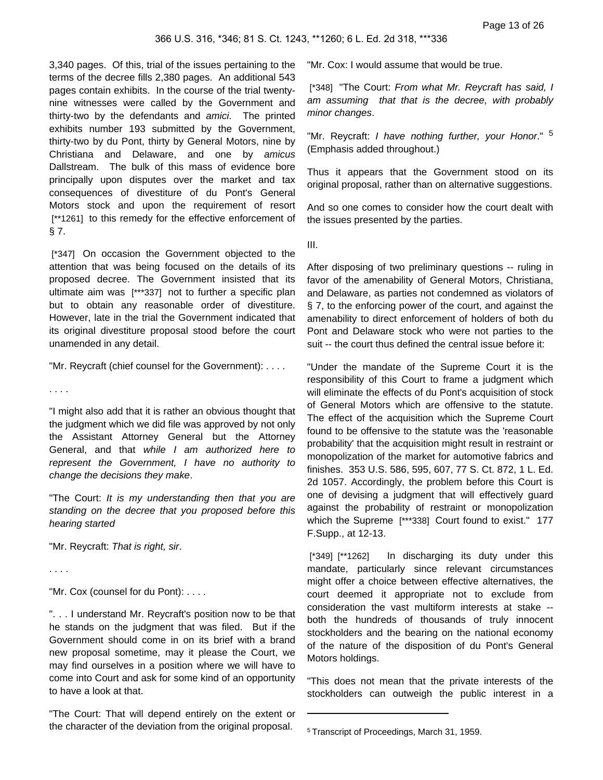3,340 pages. Of this, trial of the issues pertaining to the terms of the decree fills 2,380 pages. An additional 543 pages contain exhibits. In the course of the trial twentynine witnesses were called by the Government and thirty-two by the defendants and amici. The printed exhibits number 193 submitted by the Government, thirty-two by du Pont, thirty by General Motors, nine by Christiana and Delaware, and one by amicus Dallstream. The bulk of this mass of evidence bore principally upon disputes over the market and tax consequences of divestiture of du Pont's General Motors stock and upon the requirement of resort [\*\*1261] to this remedy for the effective enforcement of § 7.

[\*347] On occasion the Government objected to the attention that was being focused on the details of its proposed decree. The Government insisted that its ultimate aim was [\*\*\*337] not to further a specific plan but to obtain any reasonable order of divestiture. However, late in the trial the Government indicated that its original divestiture proposal stood before the court unamended in any detail.

"Mr. Reycraft (chief counsel for the Government): . . . .

. . . .

"I might also add that it is rather an obvious thought that the judgment which we did file was approved by not only the Assistant Attorney General but the Attorney General, and that while I am authorized here to represent the Government, I have no authority to change the decisions they make.

"The Court: It is my understanding then that you are standing on the decree that you proposed before this hearing started

"Mr. Reycraft: That is right, sir.

. . . .

"Mr. Cox (counsel for du Pont): . . . .

". . . I understand Mr. Reycraft's position now to be that he stands on the judgment that was filed. But if the Government should come in on its brief with a brand new proposal sometime, may it please the Court, we may find ourselves in a position where we will have to come into Court and ask for some kind of an opportunity to have a look at that.

"The Court: That will depend entirely on the extent or the character of the deviation from the original proposal.

"Mr. Cox: I would assume that would be true.

[\*348] "The Court: From what Mr. Reycraft has said, I am assuming that that is the decree, with probably minor changes.

"Mr. Reycraft: I have nothing further, your Honor." <sup>5</sup> (Emphasis added throughout.)

Thus it appears that the Government stood on its original proposal, rather than on alternative suggestions.

And so one comes to consider how the court dealt with the issues presented by the parties.

III.

After disposing of two preliminary questions -- ruling in favor of the amenability of General Motors, Christiana, and Delaware, as parties not condemned as violators of § 7, to the enforcing power of the court, and against the amenability to direct enforcement of holders of both du Pont and Delaware stock who were not parties to the suit -- the court thus defined the central issue before it:

"Under the mandate of the Supreme Court it is the responsibility of this Court to frame a judgment which will eliminate the effects of du Pont's acquisition of stock of General Motors which are offensive to the statute. The effect of the acquisition which the Supreme Court found to be offensive to the statute was the 'reasonable probability' that the acquisition might result in restraint or monopolization of the market for automotive fabrics and finishes. 353 U.S. 586, 595, 607, 77 S. Ct. 872, 1 L. Ed. 2d 1057. Accordingly, the problem before this Court is one of devising a judgment that will effectively guard against the probability of restraint or monopolization which the Supreme [\*\*\*338] Court found to exist." 177 F.Supp., at 12-13.

[\*349] [\*\*1262] In discharging its duty under this mandate, particularly since relevant circumstances might offer a choice between effective alternatives, the court deemed it appropriate not to exclude from consideration the vast multiform interests at stake - both the hundreds of thousands of truly innocent stockholders and the bearing on the national economy of the nature of the disposition of du Pont's General Motors holdings.

"This does not mean that the private interests of the stockholders can outweigh the public interest in a

<sup>5</sup> Transcript of Proceedings, March 31, 1959.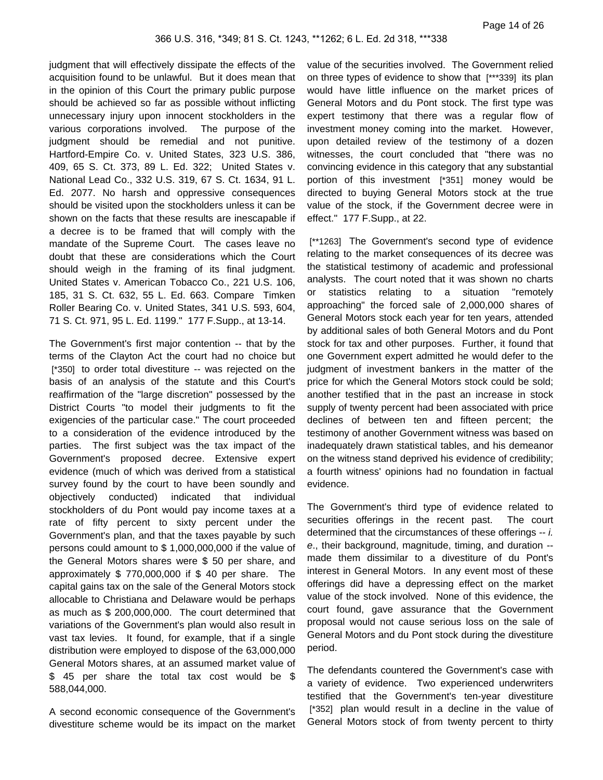judgment that will effectively dissipate the effects of the acquisition found to be unlawful. But it does mean that in the opinion of this Court the primary public purpose should be achieved so far as possible without inflicting unnecessary injury upon innocent stockholders in the various corporations involved. The purpose of the judgment should be remedial and not punitive. Hartford-Empire Co. v. United States, 323 U.S. 386, 409, 65 S. Ct. 373, 89 L. Ed. 322; United States v. National Lead Co., 332 U.S. 319, 67 S. Ct. 1634, 91 L. Ed. 2077. No harsh and oppressive consequences should be visited upon the stockholders unless it can be shown on the facts that these results are inescapable if a decree is to be framed that will comply with the mandate of the Supreme Court. The cases leave no doubt that these are considerations which the Court should weigh in the framing of its final judgment. United States v. American Tobacco Co., 221 U.S. 106, 185, 31 S. Ct. 632, 55 L. Ed. 663. Compare Timken Roller Bearing Co. v. United States, 341 U.S. 593, 604, 71 S. Ct. 971, 95 L. Ed. 1199." 177 F.Supp., at 13-14.

The Government's first major contention -- that by the terms of the Clayton Act the court had no choice but [\*350] to order total divestiture -- was rejected on the basis of an analysis of the statute and this Court's reaffirmation of the "large discretion" possessed by the District Courts "to model their judgments to fit the exigencies of the particular case." The court proceeded to a consideration of the evidence introduced by the parties. The first subject was the tax impact of the Government's proposed decree. Extensive expert evidence (much of which was derived from a statistical survey found by the court to have been soundly and objectively conducted) indicated that individual stockholders of du Pont would pay income taxes at a rate of fifty percent to sixty percent under the Government's plan, and that the taxes payable by such persons could amount to \$ 1,000,000,000 if the value of the General Motors shares were \$ 50 per share, and approximately \$ 770,000,000 if \$ 40 per share. The capital gains tax on the sale of the General Motors stock allocable to Christiana and Delaware would be perhaps as much as \$ 200,000,000. The court determined that variations of the Government's plan would also result in vast tax levies. It found, for example, that if a single distribution were employed to dispose of the 63,000,000 General Motors shares, at an assumed market value of \$ 45 per share the total tax cost would be \$ 588,044,000.

A second economic consequence of the Government's divestiture scheme would be its impact on the market value of the securities involved. The Government relied on three types of evidence to show that [\*\*\*339] its plan would have little influence on the market prices of General Motors and du Pont stock. The first type was expert testimony that there was a regular flow of investment money coming into the market. However, upon detailed review of the testimony of a dozen witnesses, the court concluded that "there was no convincing evidence in this category that any substantial portion of this investment [\*351] money would be directed to buying General Motors stock at the true value of the stock, if the Government decree were in effect." 177 F.Supp., at 22.

[\*\*1263] The Government's second type of evidence relating to the market consequences of its decree was the statistical testimony of academic and professional analysts. The court noted that it was shown no charts or statistics relating to a situation "remotely approaching" the forced sale of 2,000,000 shares of General Motors stock each year for ten years, attended by additional sales of both General Motors and du Pont stock for tax and other purposes. Further, it found that one Government expert admitted he would defer to the judgment of investment bankers in the matter of the price for which the General Motors stock could be sold; another testified that in the past an increase in stock supply of twenty percent had been associated with price declines of between ten and fifteen percent; the testimony of another Government witness was based on inadequately drawn statistical tables, and his demeanor on the witness stand deprived his evidence of credibility; a fourth witness' opinions had no foundation in factual evidence.

The Government's third type of evidence related to securities offerings in the recent past. The court determined that the circumstances of these offerings -- i. e., their background, magnitude, timing, and duration - made them dissimilar to a divestiture of du Pont's interest in General Motors. In any event most of these offerings did have a depressing effect on the market value of the stock involved. None of this evidence, the court found, gave assurance that the Government proposal would not cause serious loss on the sale of General Motors and du Pont stock during the divestiture period.

The defendants countered the Government's case with a variety of evidence. Two experienced underwriters testified that the Government's ten-year divestiture [\*352] plan would result in a decline in the value of General Motors stock of from twenty percent to thirty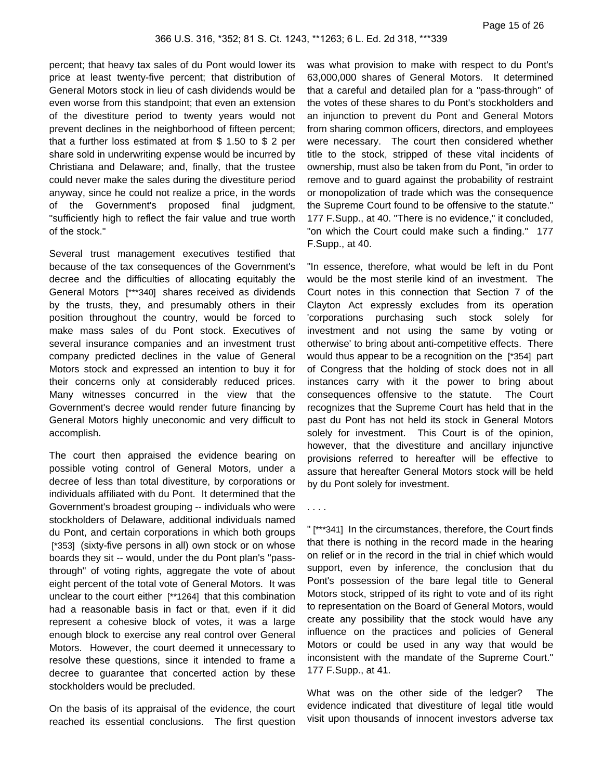percent; that heavy tax sales of du Pont would lower its price at least twenty-five percent; that distribution of General Motors stock in lieu of cash dividends would be even worse from this standpoint; that even an extension of the divestiture period to twenty years would not prevent declines in the neighborhood of fifteen percent; that a further loss estimated at from \$ 1.50 to \$ 2 per share sold in underwriting expense would be incurred by Christiana and Delaware; and, finally, that the trustee could never make the sales during the divestiture period anyway, since he could not realize a price, in the words of the Government's proposed final judgment, "sufficiently high to reflect the fair value and true worth of the stock."

Several trust management executives testified that because of the tax consequences of the Government's decree and the difficulties of allocating equitably the General Motors [\*\*\*340] shares received as dividends by the trusts, they, and presumably others in their position throughout the country, would be forced to make mass sales of du Pont stock. Executives of several insurance companies and an investment trust company predicted declines in the value of General Motors stock and expressed an intention to buy it for their concerns only at considerably reduced prices. Many witnesses concurred in the view that the Government's decree would render future financing by General Motors highly uneconomic and very difficult to accomplish.

The court then appraised the evidence bearing on possible voting control of General Motors, under a decree of less than total divestiture, by corporations or individuals affiliated with du Pont. It determined that the Government's broadest grouping -- individuals who were stockholders of Delaware, additional individuals named du Pont, and certain corporations in which both groups [\*353] (sixty-five persons in all) own stock or on whose boards they sit -- would, under the du Pont plan's "passthrough" of voting rights, aggregate the vote of about eight percent of the total vote of General Motors. It was unclear to the court either [\*\*1264] that this combination had a reasonable basis in fact or that, even if it did represent a cohesive block of votes, it was a large enough block to exercise any real control over General Motors. However, the court deemed it unnecessary to resolve these questions, since it intended to frame a decree to guarantee that concerted action by these stockholders would be precluded.

On the basis of its appraisal of the evidence, the court reached its essential conclusions. The first question

was what provision to make with respect to du Pont's 63,000,000 shares of General Motors. It determined that a careful and detailed plan for a "pass-through" of the votes of these shares to du Pont's stockholders and an injunction to prevent du Pont and General Motors from sharing common officers, directors, and employees were necessary. The court then considered whether title to the stock, stripped of these vital incidents of ownership, must also be taken from du Pont, "in order to remove and to guard against the probability of restraint or monopolization of trade which was the consequence the Supreme Court found to be offensive to the statute." 177 F.Supp., at 40. "There is no evidence," it concluded, "on which the Court could make such a finding." 177 F.Supp., at 40.

"In essence, therefore, what would be left in du Pont would be the most sterile kind of an investment. The Court notes in this connection that Section 7 of the Clayton Act expressly excludes from its operation 'corporations purchasing such stock solely for investment and not using the same by voting or otherwise' to bring about anti-competitive effects. There would thus appear to be a recognition on the [\*354] part of Congress that the holding of stock does not in all instances carry with it the power to bring about consequences offensive to the statute. The Court recognizes that the Supreme Court has held that in the past du Pont has not held its stock in General Motors solely for investment. This Court is of the opinion, however, that the divestiture and ancillary injunctive provisions referred to hereafter will be effective to assure that hereafter General Motors stock will be held by du Pont solely for investment.

. . . .

" [\*\*\*341] In the circumstances, therefore, the Court finds that there is nothing in the record made in the hearing on relief or in the record in the trial in chief which would support, even by inference, the conclusion that du Pont's possession of the bare legal title to General Motors stock, stripped of its right to vote and of its right to representation on the Board of General Motors, would create any possibility that the stock would have any influence on the practices and policies of General Motors or could be used in any way that would be inconsistent with the mandate of the Supreme Court." 177 F.Supp., at 41.

What was on the other side of the ledger? The evidence indicated that divestiture of legal title would visit upon thousands of innocent investors adverse tax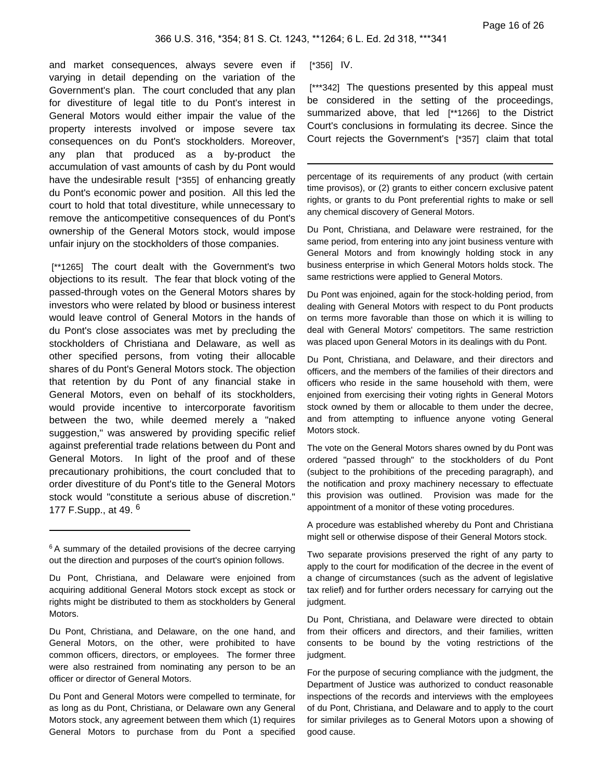and market consequences, always severe even if varying in detail depending on the variation of the Government's plan. The court concluded that any plan for divestiture of legal title to du Pont's interest in General Motors would either impair the value of the property interests involved or impose severe tax consequences on du Pont's stockholders. Moreover, any plan that produced as a by-product the accumulation of vast amounts of cash by du Pont would have the undesirable result [\*355] of enhancing greatly du Pont's economic power and position. All this led the court to hold that total divestiture, while unnecessary to remove the anticompetitive consequences of du Pont's ownership of the General Motors stock, would impose unfair injury on the stockholders of those companies.

[\*\*1265] The court dealt with the Government's two objections to its result. The fear that block voting of the passed-through votes on the General Motors shares by investors who were related by blood or business interest would leave control of General Motors in the hands of du Pont's close associates was met by precluding the stockholders of Christiana and Delaware, as well as other specified persons, from voting their allocable shares of du Pont's General Motors stock. The objection that retention by du Pont of any financial stake in General Motors, even on behalf of its stockholders, would provide incentive to intercorporate favoritism between the two, while deemed merely a "naked suggestion," was answered by providing specific relief against preferential trade relations between du Pont and General Motors. In light of the proof and of these precautionary prohibitions, the court concluded that to order divestiture of du Pont's title to the General Motors stock would "constitute a serious abuse of discretion." 177 F.Supp., at 49. <sup>6</sup>

Du Pont, Christiana, and Delaware, on the one hand, and General Motors, on the other, were prohibited to have common officers, directors, or employees. The former three were also restrained from nominating any person to be an officer or director of General Motors.

Du Pont and General Motors were compelled to terminate, for as long as du Pont, Christiana, or Delaware own any General Motors stock, any agreement between them which (1) requires General Motors to purchase from du Pont a specified [\*356] IV.

[\*\*\*342] The questions presented by this appeal must be considered in the setting of the proceedings, summarized above, that led [\*\*1266] to the District Court's conclusions in formulating its decree. Since the Court rejects the Government's [\*357] claim that total

percentage of its requirements of any product (with certain time provisos), or (2) grants to either concern exclusive patent rights, or grants to du Pont preferential rights to make or sell any chemical discovery of General Motors.

Du Pont, Christiana, and Delaware were restrained, for the same period, from entering into any joint business venture with General Motors and from knowingly holding stock in any business enterprise in which General Motors holds stock. The same restrictions were applied to General Motors.

Du Pont was enjoined, again for the stock-holding period, from dealing with General Motors with respect to du Pont products on terms more favorable than those on which it is willing to deal with General Motors' competitors. The same restriction was placed upon General Motors in its dealings with du Pont.

Du Pont, Christiana, and Delaware, and their directors and officers, and the members of the families of their directors and officers who reside in the same household with them, were enjoined from exercising their voting rights in General Motors stock owned by them or allocable to them under the decree, and from attempting to influence anyone voting General Motors stock.

The vote on the General Motors shares owned by du Pont was ordered "passed through" to the stockholders of du Pont (subject to the prohibitions of the preceding paragraph), and the notification and proxy machinery necessary to effectuate this provision was outlined. Provision was made for the appointment of a monitor of these voting procedures.

A procedure was established whereby du Pont and Christiana might sell or otherwise dispose of their General Motors stock.

Two separate provisions preserved the right of any party to apply to the court for modification of the decree in the event of a change of circumstances (such as the advent of legislative tax relief) and for further orders necessary for carrying out the judgment.

Du Pont, Christiana, and Delaware were directed to obtain from their officers and directors, and their families, written consents to be bound by the voting restrictions of the judgment.

For the purpose of securing compliance with the judgment, the Department of Justice was authorized to conduct reasonable inspections of the records and interviews with the employees of du Pont, Christiana, and Delaware and to apply to the court for similar privileges as to General Motors upon a showing of good cause.

<sup>&</sup>lt;sup>6</sup> A summary of the detailed provisions of the decree carrying out the direction and purposes of the court's opinion follows.

Du Pont, Christiana, and Delaware were enjoined from acquiring additional General Motors stock except as stock or rights might be distributed to them as stockholders by General Motors.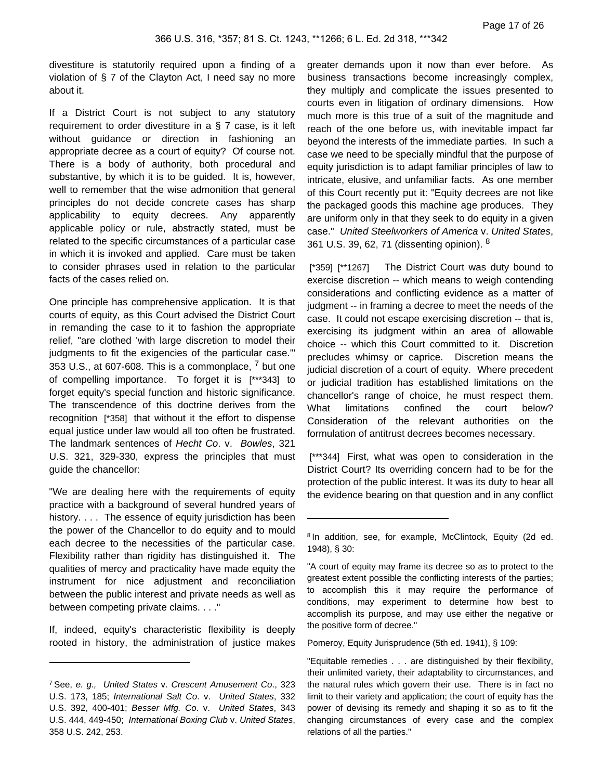divestiture is statutorily required upon a finding of a violation of § 7 of the Clayton Act, I need say no more about it.

If a District Court is not subject to any statutory requirement to order divestiture in a § 7 case, is it left without guidance or direction in fashioning an appropriate decree as a court of equity? Of course not. There is a body of authority, both procedural and substantive, by which it is to be guided. It is, however, well to remember that the wise admonition that general principles do not decide concrete cases has sharp applicability to equity decrees. Any apparently applicable policy or rule, abstractly stated, must be related to the specific circumstances of a particular case in which it is invoked and applied. Care must be taken to consider phrases used in relation to the particular facts of the cases relied on.

One principle has comprehensive application. It is that courts of equity, as this Court advised the District Court in remanding the case to it to fashion the appropriate relief, "are clothed 'with large discretion to model their judgments to fit the exigencies of the particular case." 353 U.S., at 607-608. This is a commonplace,  $<sup>7</sup>$  but one</sup> of compelling importance. To forget it is [\*\*\*343] to forget equity's special function and historic significance. The transcendence of this doctrine derives from the recognition [\*358] that without it the effort to dispense equal justice under law would all too often be frustrated. The landmark sentences of Hecht Co. v. Bowles, 321 U.S. 321, 329-330, express the principles that must guide the chancellor:

"We are dealing here with the requirements of equity practice with a background of several hundred years of history. . . . The essence of equity jurisdiction has been the power of the Chancellor to do equity and to mould each decree to the necessities of the particular case. Flexibility rather than rigidity has distinguished it. The qualities of mercy and practicality have made equity the instrument for nice adjustment and reconciliation between the public interest and private needs as well as between competing private claims. . . ."

If, indeed, equity's characteristic flexibility is deeply rooted in history, the administration of justice makes greater demands upon it now than ever before. As business transactions become increasingly complex, they multiply and complicate the issues presented to courts even in litigation of ordinary dimensions. How much more is this true of a suit of the magnitude and reach of the one before us, with inevitable impact far beyond the interests of the immediate parties. In such a case we need to be specially mindful that the purpose of equity jurisdiction is to adapt familiar principles of law to intricate, elusive, and unfamiliar facts. As one member of this Court recently put it: "Equity decrees are not like the packaged goods this machine age produces. They are uniform only in that they seek to do equity in a given case." United Steelworkers of America v. United States, 361 U.S. 39, 62, 71 (dissenting opinion). <sup>8</sup>

[\*359] [\*\*1267] The District Court was duty bound to exercise discretion -- which means to weigh contending considerations and conflicting evidence as a matter of judgment -- in framing a decree to meet the needs of the case. It could not escape exercising discretion -- that is, exercising its judgment within an area of allowable choice -- which this Court committed to it. Discretion precludes whimsy or caprice. Discretion means the judicial discretion of a court of equity. Where precedent or judicial tradition has established limitations on the chancellor's range of choice, he must respect them. What limitations confined the court below? Consideration of the relevant authorities on the formulation of antitrust decrees becomes necessary.

[\*\*\*344] First, what was open to consideration in the District Court? Its overriding concern had to be for the protection of the public interest. It was its duty to hear all the evidence bearing on that question and in any conflict

Pomeroy, Equity Jurisprudence (5th ed. 1941), § 109:

"Equitable remedies . . . are distinguished by their flexibility, their unlimited variety, their adaptability to circumstances, and the natural rules which govern their use. There is in fact no limit to their variety and application; the court of equity has the power of devising its remedy and shaping it so as to fit the changing circumstances of every case and the complex relations of all the parties."

<sup>7</sup> See, e. g., United States v. Crescent Amusement Co., 323 U.S. 173, 185; International Salt Co. v. United States, 332 U.S. 392, 400-401; Besser Mfg. Co. v. United States, 343 U.S. 444, 449-450; International Boxing Club v. United States, 358 U.S. 242, 253.

<sup>&</sup>lt;sup>8</sup> In addition, see, for example, McClintock, Equity (2d ed. 1948), § 30:

<sup>&</sup>quot;A court of equity may frame its decree so as to protect to the greatest extent possible the conflicting interests of the parties; to accomplish this it may require the performance of conditions, may experiment to determine how best to accomplish its purpose, and may use either the negative or the positive form of decree."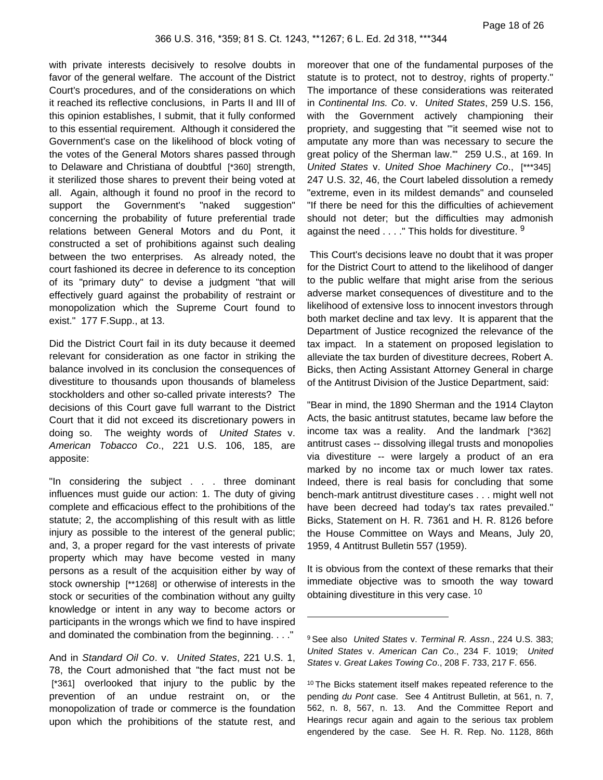with private interests decisively to resolve doubts in favor of the general welfare. The account of the District Court's procedures, and of the considerations on which it reached its reflective conclusions, in Parts II and III of this opinion establishes, I submit, that it fully conformed to this essential requirement. Although it considered the Government's case on the likelihood of block voting of the votes of the General Motors shares passed through to Delaware and Christiana of doubtful [\*360] strength, it sterilized those shares to prevent their being voted at all. Again, although it found no proof in the record to support the Government's "naked suggestion" concerning the probability of future preferential trade relations between General Motors and du Pont, it constructed a set of prohibitions against such dealing between the two enterprises. As already noted, the court fashioned its decree in deference to its conception of its "primary duty" to devise a judgment "that will effectively guard against the probability of restraint or monopolization which the Supreme Court found to exist." 177 F.Supp., at 13.

Did the District Court fail in its duty because it deemed relevant for consideration as one factor in striking the balance involved in its conclusion the consequences of divestiture to thousands upon thousands of blameless stockholders and other so-called private interests? The decisions of this Court gave full warrant to the District Court that it did not exceed its discretionary powers in doing so. The weighty words of United States v. American Tobacco Co., 221 U.S. 106, 185, are apposite:

"In considering the subject . . . three dominant influences must guide our action: 1. The duty of giving complete and efficacious effect to the prohibitions of the statute; 2, the accomplishing of this result with as little injury as possible to the interest of the general public; and, 3, a proper regard for the vast interests of private property which may have become vested in many persons as a result of the acquisition either by way of stock ownership [\*\*1268] or otherwise of interests in the stock or securities of the combination without any guilty knowledge or intent in any way to become actors or participants in the wrongs which we find to have inspired and dominated the combination from the beginning. . . ."

And in Standard Oil Co. v. United States, 221 U.S. 1, 78, the Court admonished that "the fact must not be [\*361] overlooked that injury to the public by the prevention of an undue restraint on, or the monopolization of trade or commerce is the foundation upon which the prohibitions of the statute rest, and moreover that one of the fundamental purposes of the statute is to protect, not to destroy, rights of property." The importance of these considerations was reiterated in Continental Ins. Co. v. United States, 259 U.S. 156, with the Government actively championing their propriety, and suggesting that "'it seemed wise not to amputate any more than was necessary to secure the great policy of the Sherman law.'" 259 U.S., at 169. In United States v. United Shoe Machinery Co., [\*\*\*345] 247 U.S. 32, 46, the Court labeled dissolution a remedy "extreme, even in its mildest demands" and counseled "If there be need for this the difficulties of achievement should not deter; but the difficulties may admonish against the need  $\dots$ ." This holds for divestiture.  $9$ 

This Court's decisions leave no doubt that it was proper for the District Court to attend to the likelihood of danger to the public welfare that might arise from the serious adverse market consequences of divestiture and to the likelihood of extensive loss to innocent investors through both market decline and tax levy. It is apparent that the Department of Justice recognized the relevance of the tax impact. In a statement on proposed legislation to alleviate the tax burden of divestiture decrees, Robert A. Bicks, then Acting Assistant Attorney General in charge of the Antitrust Division of the Justice Department, said:

"Bear in mind, the 1890 Sherman and the 1914 Clayton Acts, the basic antitrust statutes, became law before the income tax was a reality. And the landmark [\*362] antitrust cases -- dissolving illegal trusts and monopolies via divestiture -- were largely a product of an era marked by no income tax or much lower tax rates. Indeed, there is real basis for concluding that some bench-mark antitrust divestiture cases . . . might well not have been decreed had today's tax rates prevailed." Bicks, Statement on H. R. 7361 and H. R. 8126 before the House Committee on Ways and Means, July 20, 1959, 4 Antitrust Bulletin 557 (1959).

It is obvious from the context of these remarks that their immediate objective was to smooth the way toward obtaining divestiture in this very case. <sup>10</sup>

<sup>&</sup>lt;sup>9</sup> See also United States v. Terminal R. Assn., 224 U.S. 383; United States v. American Can Co., 234 F. 1019; United States v. Great Lakes Towing Co., 208 F. 733, 217 F. 656.

<sup>&</sup>lt;sup>10</sup> The Bicks statement itself makes repeated reference to the pending du Pont case. See 4 Antitrust Bulletin, at 561, n. 7, 562, n. 8, 567, n. 13. And the Committee Report and Hearings recur again and again to the serious tax problem engendered by the case. See H. R. Rep. No. 1128, 86th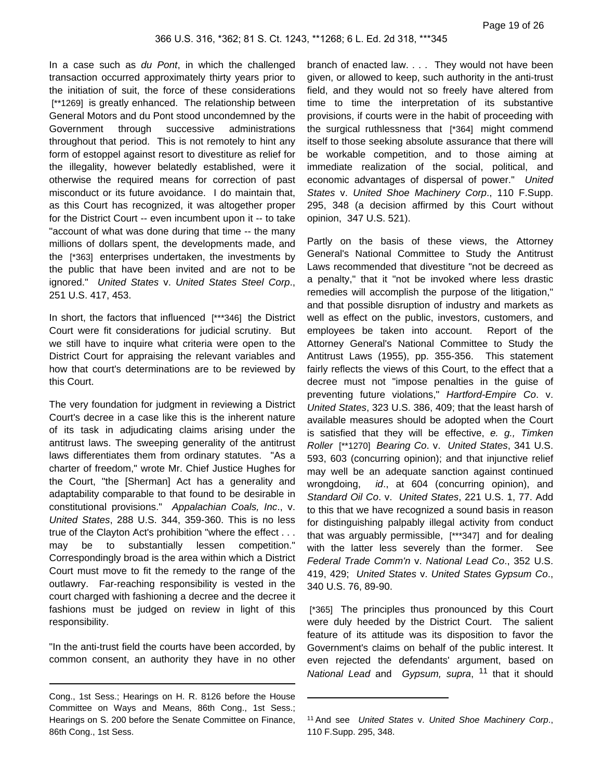In a case such as du Pont, in which the challenged transaction occurred approximately thirty years prior to the initiation of suit, the force of these considerations [\*\*1269] is greatly enhanced. The relationship between General Motors and du Pont stood uncondemned by the Government through successive administrations throughout that period. This is not remotely to hint any form of estoppel against resort to divestiture as relief for the illegality, however belatedly established, were it otherwise the required means for correction of past misconduct or its future avoidance. I do maintain that, as this Court has recognized, it was altogether proper for the District Court -- even incumbent upon it -- to take "account of what was done during that time -- the many millions of dollars spent, the developments made, and the [\*363] enterprises undertaken, the investments by the public that have been invited and are not to be ignored." United States v. United States Steel Corp., 251 U.S. 417, 453.

In short, the factors that influenced [\*\*\*346] the District Court were fit considerations for judicial scrutiny. But we still have to inquire what criteria were open to the District Court for appraising the relevant variables and how that court's determinations are to be reviewed by this Court.

The very foundation for judgment in reviewing a District Court's decree in a case like this is the inherent nature of its task in adjudicating claims arising under the antitrust laws. The sweeping generality of the antitrust laws differentiates them from ordinary statutes. "As a charter of freedom," wrote Mr. Chief Justice Hughes for the Court, "the [Sherman] Act has a generality and adaptability comparable to that found to be desirable in constitutional provisions." Appalachian Coals, Inc., v. United States, 288 U.S. 344, 359-360. This is no less true of the Clayton Act's prohibition "where the effect . . . may be to substantially lessen competition." Correspondingly broad is the area within which a District Court must move to fit the remedy to the range of the outlawry. Far-reaching responsibility is vested in the court charged with fashioning a decree and the decree it fashions must be judged on review in light of this responsibility.

"In the anti-trust field the courts have been accorded, by common consent, an authority they have in no other branch of enacted law. . . . They would not have been given, or allowed to keep, such authority in the anti-trust field, and they would not so freely have altered from time to time the interpretation of its substantive provisions, if courts were in the habit of proceeding with the surgical ruthlessness that [\*364] might commend itself to those seeking absolute assurance that there will be workable competition, and to those aiming at immediate realization of the social, political, and economic advantages of dispersal of power." United States v. United Shoe Machinery Corp., 110 F.Supp. 295, 348 (a decision affirmed by this Court without opinion, 347 U.S. 521).

Partly on the basis of these views, the Attorney General's National Committee to Study the Antitrust Laws recommended that divestiture "not be decreed as a penalty," that it "not be invoked where less drastic remedies will accomplish the purpose of the litigation," and that possible disruption of industry and markets as well as effect on the public, investors, customers, and employees be taken into account. Report of the Attorney General's National Committee to Study the Antitrust Laws (1955), pp. 355-356. This statement fairly reflects the views of this Court, to the effect that a decree must not "impose penalties in the guise of preventing future violations," Hartford-Empire Co. v. United States, 323 U.S. 386, 409; that the least harsh of available measures should be adopted when the Court is satisfied that they will be effective, e. g., Timken Roller [\*\*1270] Bearing Co. v. United States, 341 U.S. 593, 603 (concurring opinion); and that injunctive relief may well be an adequate sanction against continued wrongdoing, *id.*, at 604 (concurring opinion), and Standard Oil Co. v. United States, 221 U.S. 1, 77. Add to this that we have recognized a sound basis in reason for distinguishing palpably illegal activity from conduct that was arguably permissible, [\*\*\*347] and for dealing with the latter less severely than the former. See Federal Trade Comm'n v. National Lead Co., 352 U.S. 419, 429; United States v. United States Gypsum Co., 340 U.S. 76, 89-90.

[\*365] The principles thus pronounced by this Court were duly heeded by the District Court. The salient feature of its attitude was its disposition to favor the Government's claims on behalf of the public interest. It even rejected the defendants' argument, based on National Lead and Gypsum, supra, <sup>11</sup> that it should

Cong., 1st Sess.; Hearings on H. R. 8126 before the House Committee on Ways and Means, 86th Cong., 1st Sess.; Hearings on S. 200 before the Senate Committee on Finance, 86th Cong., 1st Sess.

<sup>11</sup> And see United States v. United Shoe Machinery Corp., 110 F.Supp. 295, 348.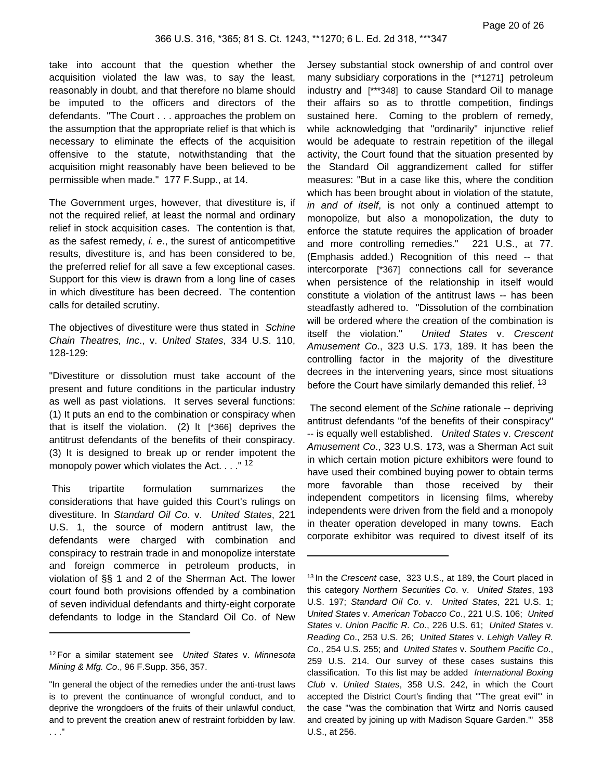take into account that the question whether the acquisition violated the law was, to say the least, reasonably in doubt, and that therefore no blame should be imputed to the officers and directors of the defendants. "The Court . . . approaches the problem on the assumption that the appropriate relief is that which is necessary to eliminate the effects of the acquisition offensive to the statute, notwithstanding that the acquisition might reasonably have been believed to be permissible when made." 177 F.Supp., at 14.

The Government urges, however, that divestiture is, if not the required relief, at least the normal and ordinary relief in stock acquisition cases. The contention is that, as the safest remedy, i. e., the surest of anticompetitive results, divestiture is, and has been considered to be, the preferred relief for all save a few exceptional cases. Support for this view is drawn from a long line of cases in which divestiture has been decreed. The contention calls for detailed scrutiny.

The objectives of divestiture were thus stated in Schine Chain Theatres, Inc., v. United States, 334 U.S. 110, 128-129:

"Divestiture or dissolution must take account of the present and future conditions in the particular industry as well as past violations. It serves several functions: (1) It puts an end to the combination or conspiracy when that is itself the violation. (2) It [\*366] deprives the antitrust defendants of the benefits of their conspiracy. (3) It is designed to break up or render impotent the monopoly power which violates the Act.  $\ldots$ <sup>"12</sup>

This tripartite formulation summarizes the considerations that have guided this Court's rulings on divestiture. In Standard Oil Co. v. United States, 221 U.S. 1, the source of modern antitrust law, the defendants were charged with combination and conspiracy to restrain trade in and monopolize interstate and foreign commerce in petroleum products, in violation of §§ 1 and 2 of the Sherman Act. The lower court found both provisions offended by a combination of seven individual defendants and thirty-eight corporate defendants to lodge in the Standard Oil Co. of New

Jersey substantial stock ownership of and control over many subsidiary corporations in the [\*\*1271] petroleum industry and [\*\*\*348] to cause Standard Oil to manage their affairs so as to throttle competition, findings sustained here. Coming to the problem of remedy, while acknowledging that "ordinarily" injunctive relief would be adequate to restrain repetition of the illegal activity, the Court found that the situation presented by the Standard Oil aggrandizement called for stiffer measures: "But in a case like this, where the condition which has been brought about in violation of the statute, in and of itself, is not only a continued attempt to monopolize, but also a monopolization, the duty to enforce the statute requires the application of broader and more controlling remedies." 221 U.S., at 77. (Emphasis added.) Recognition of this need -- that intercorporate [\*367] connections call for severance when persistence of the relationship in itself would constitute a violation of the antitrust laws -- has been steadfastly adhered to. "Dissolution of the combination will be ordered where the creation of the combination is itself the violation." United States v. Crescent Amusement Co., 323 U.S. 173, 189. It has been the controlling factor in the majority of the divestiture decrees in the intervening years, since most situations before the Court have similarly demanded this relief. <sup>13</sup>

The second element of the Schine rationale -- depriving antitrust defendants "of the benefits of their conspiracy" -- is equally well established. United States v. Crescent Amusement Co., 323 U.S. 173, was a Sherman Act suit in which certain motion picture exhibitors were found to have used their combined buying power to obtain terms more favorable than those received by their independent competitors in licensing films, whereby independents were driven from the field and a monopoly in theater operation developed in many towns. Each corporate exhibitor was required to divest itself of its

<sup>&</sup>lt;sup>12</sup> For a similar statement see United States v. Minnesota Mining & Mfg. Co., 96 F.Supp. 356, 357.

<sup>&</sup>quot;In general the object of the remedies under the anti-trust laws is to prevent the continuance of wrongful conduct, and to deprive the wrongdoers of the fruits of their unlawful conduct, and to prevent the creation anew of restraint forbidden by law.

<sup>&</sup>lt;sup>13</sup> In the Crescent case, 323 U.S., at 189, the Court placed in this category Northern Securities Co. v. United States, 193 U.S. 197; Standard Oil Co. v. United States, 221 U.S. 1; United States v. American Tobacco Co., 221 U.S. 106; United States v. Union Pacific R. Co., 226 U.S. 61; United States v. Reading Co., 253 U.S. 26; United States v. Lehigh Valley R. Co., 254 U.S. 255; and United States v. Southern Pacific Co., 259 U.S. 214. Our survey of these cases sustains this classification. To this list may be added International Boxing Club v. United States, 358 U.S. 242, in which the Court accepted the District Court's finding that "'The great evil'" in the case "'was the combination that Wirtz and Norris caused and created by joining up with Madison Square Garden.'" 358 U.S., at 256.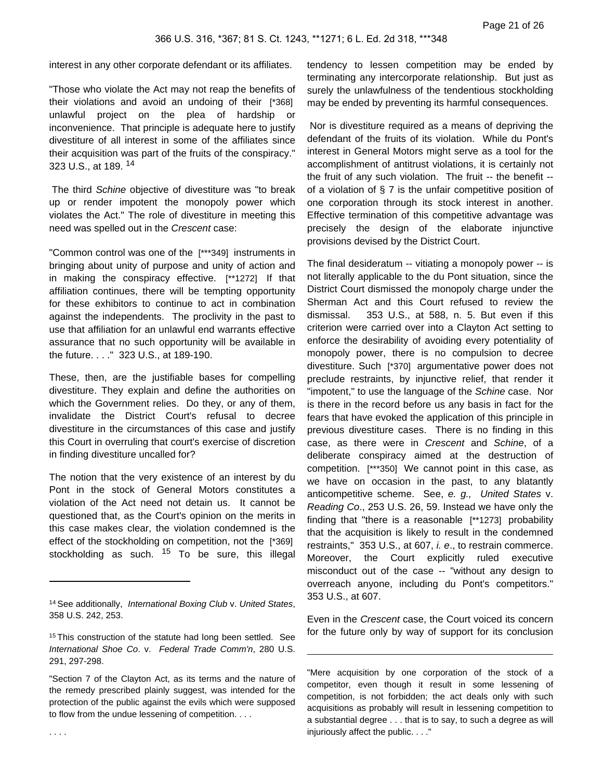interest in any other corporate defendant or its affiliates.

"Those who violate the Act may not reap the benefits of their violations and avoid an undoing of their [\*368] unlawful project on the plea of hardship or inconvenience. That principle is adequate here to justify divestiture of all interest in some of the affiliates since their acquisition was part of the fruits of the conspiracy." 323 U.S., at 189. <sup>14</sup>

The third Schine objective of divestiture was "to break up or render impotent the monopoly power which violates the Act." The role of divestiture in meeting this need was spelled out in the Crescent case:

"Common control was one of the [\*\*\*349] instruments in bringing about unity of purpose and unity of action and in making the conspiracy effective. [\*\*1272] If that affiliation continues, there will be tempting opportunity for these exhibitors to continue to act in combination against the independents. The proclivity in the past to use that affiliation for an unlawful end warrants effective assurance that no such opportunity will be available in the future. . . ." 323 U.S., at 189-190.

These, then, are the justifiable bases for compelling divestiture. They explain and define the authorities on which the Government relies. Do they, or any of them, invalidate the District Court's refusal to decree divestiture in the circumstances of this case and justify this Court in overruling that court's exercise of discretion in finding divestiture uncalled for?

The notion that the very existence of an interest by du Pont in the stock of General Motors constitutes a violation of the Act need not detain us. It cannot be questioned that, as the Court's opinion on the merits in this case makes clear, the violation condemned is the effect of the stockholding on competition, not the [\*369] stockholding as such.  $15$  To be sure, this illegal

Nor is divestiture required as a means of depriving the defendant of the fruits of its violation. While du Pont's interest in General Motors might serve as a tool for the accomplishment of antitrust violations, it is certainly not the fruit of any such violation. The fruit -- the benefit - of a violation of  $\S$  7 is the unfair competitive position of one corporation through its stock interest in another. Effective termination of this competitive advantage was precisely the design of the elaborate injunctive provisions devised by the District Court.

The final desideratum -- vitiating a monopoly power -- is not literally applicable to the du Pont situation, since the District Court dismissed the monopoly charge under the Sherman Act and this Court refused to review the dismissal. 353 U.S., at 588, n. 5. But even if this criterion were carried over into a Clayton Act setting to enforce the desirability of avoiding every potentiality of monopoly power, there is no compulsion to decree divestiture. Such [\*370] argumentative power does not preclude restraints, by injunctive relief, that render it "impotent," to use the language of the Schine case. Nor is there in the record before us any basis in fact for the fears that have evoked the application of this principle in previous divestiture cases. There is no finding in this case, as there were in Crescent and Schine, of a deliberate conspiracy aimed at the destruction of competition. [\*\*\*350] We cannot point in this case, as we have on occasion in the past, to any blatantly anticompetitive scheme. See, e. g., United States v. Reading Co., 253 U.S. 26, 59. Instead we have only the finding that "there is a reasonable [\*\*1273] probability that the acquisition is likely to result in the condemned restraints," 353 U.S., at 607, i. e., to restrain commerce. Moreover, the Court explicitly ruled executive misconduct out of the case -- "without any design to overreach anyone, including du Pont's competitors." 353 U.S., at 607.

Even in the Crescent case, the Court voiced its concern for the future only by way of support for its conclusion

"Mere acquisition by one corporation of the stock of a competitor, even though it result in some lessening of competition, is not forbidden; the act deals only with such acquisitions as probably will result in lessening competition to a substantial degree . . . that is to say, to such a degree as will injuriously affect the public. . . ."

<sup>&</sup>lt;sup>14</sup> See additionally, International Boxing Club v. United States, 358 U.S. 242, 253.

<sup>&</sup>lt;sup>15</sup> This construction of the statute had long been settled. See International Shoe Co. v. Federal Trade Comm'n, 280 U.S. 291, 297-298.

<sup>&</sup>quot;Section 7 of the Clayton Act, as its terms and the nature of the remedy prescribed plainly suggest, was intended for the protection of the public against the evils which were supposed to flow from the undue lessening of competition. . . .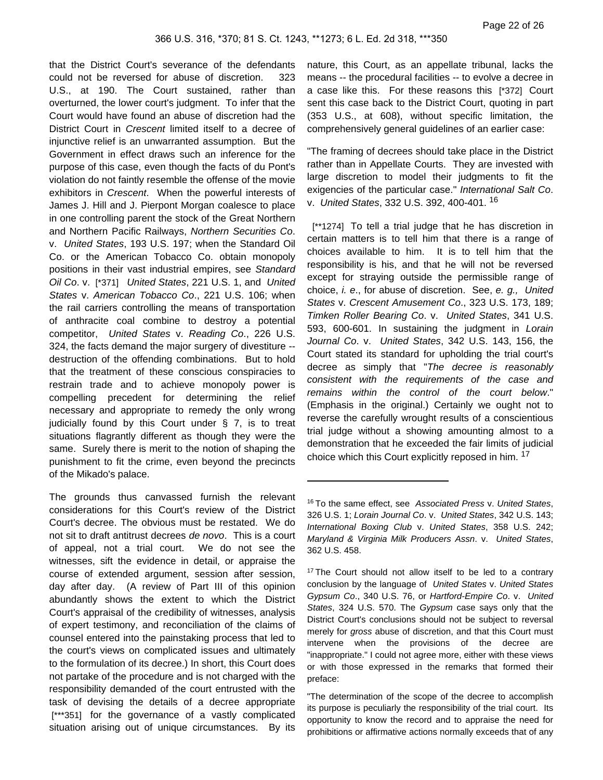that the District Court's severance of the defendants could not be reversed for abuse of discretion. 323 U.S., at 190. The Court sustained, rather than overturned, the lower court's judgment. To infer that the Court would have found an abuse of discretion had the District Court in Crescent limited itself to a decree of injunctive relief is an unwarranted assumption. But the Government in effect draws such an inference for the purpose of this case, even though the facts of du Pont's violation do not faintly resemble the offense of the movie exhibitors in *Crescent*. When the powerful interests of James J. Hill and J. Pierpont Morgan coalesce to place in one controlling parent the stock of the Great Northern and Northern Pacific Railways, Northern Securities Co. v. United States, 193 U.S. 197; when the Standard Oil Co. or the American Tobacco Co. obtain monopoly positions in their vast industrial empires, see Standard Oil Co. v. [\*371] United States, 221 U.S. 1, and United States v. American Tobacco Co., 221 U.S. 106; when the rail carriers controlling the means of transportation of anthracite coal combine to destroy a potential competitor, United States v. Reading Co., 226 U.S. 324, the facts demand the major surgery of divestiture - destruction of the offending combinations. But to hold that the treatment of these conscious conspiracies to restrain trade and to achieve monopoly power is compelling precedent for determining the relief necessary and appropriate to remedy the only wrong judicially found by this Court under § 7, is to treat situations flagrantly different as though they were the same. Surely there is merit to the notion of shaping the punishment to fit the crime, even beyond the precincts of the Mikado's palace.

The grounds thus canvassed furnish the relevant considerations for this Court's review of the District Court's decree. The obvious must be restated. We do not sit to draft antitrust decrees de novo. This is a court of appeal, not a trial court. We do not see the witnesses, sift the evidence in detail, or appraise the course of extended argument, session after session, day after day. (A review of Part III of this opinion abundantly shows the extent to which the District Court's appraisal of the credibility of witnesses, analysis of expert testimony, and reconciliation of the claims of counsel entered into the painstaking process that led to the court's views on complicated issues and ultimately to the formulation of its decree.) In short, this Court does not partake of the procedure and is not charged with the responsibility demanded of the court entrusted with the task of devising the details of a decree appropriate [\*\*\*351] for the governance of a vastly complicated situation arising out of unique circumstances. By its

nature, this Court, as an appellate tribunal, lacks the means -- the procedural facilities -- to evolve a decree in a case like this. For these reasons this [\*372] Court sent this case back to the District Court, quoting in part (353 U.S., at 608), without specific limitation, the comprehensively general guidelines of an earlier case:

"The framing of decrees should take place in the District rather than in Appellate Courts. They are invested with large discretion to model their judgments to fit the exigencies of the particular case." International Salt Co. v. United States, 332 U.S. 392, 400-401. <sup>16</sup>

[\*\*1274] To tell a trial judge that he has discretion in certain matters is to tell him that there is a range of choices available to him. It is to tell him that the responsibility is his, and that he will not be reversed except for straying outside the permissible range of choice, i. e., for abuse of discretion. See, e. g., United States v. Crescent Amusement Co., 323 U.S. 173, 189; Timken Roller Bearing Co. v. United States, 341 U.S. 593, 600-601. In sustaining the judgment in Lorain Journal Co. v. United States, 342 U.S. 143, 156, the Court stated its standard for upholding the trial court's decree as simply that "The decree is reasonably consistent with the requirements of the case and remains within the control of the court below." (Emphasis in the original.) Certainly we ought not to reverse the carefully wrought results of a conscientious trial judge without a showing amounting almost to a demonstration that he exceeded the fair limits of judicial choice which this Court explicitly reposed in him. <sup>17</sup>

"The determination of the scope of the decree to accomplish its purpose is peculiarly the responsibility of the trial court. Its opportunity to know the record and to appraise the need for prohibitions or affirmative actions normally exceeds that of any

<sup>&</sup>lt;sup>16</sup> To the same effect, see Associated Press v. United States, 326 U.S. 1; Lorain Journal Co. v. United States, 342 U.S. 143; International Boxing Club v. United States, 358 U.S. 242; Maryland & Virginia Milk Producers Assn. v. United States, 362 U.S. 458.

<sup>&</sup>lt;sup>17</sup> The Court should not allow itself to be led to a contrary conclusion by the language of United States v. United States Gypsum Co., 340 U.S. 76, or Hartford-Empire Co. v. United States, 324 U.S. 570. The Gypsum case says only that the District Court's conclusions should not be subject to reversal merely for gross abuse of discretion, and that this Court must intervene when the provisions of the decree are "inappropriate." I could not agree more, either with these views or with those expressed in the remarks that formed their preface: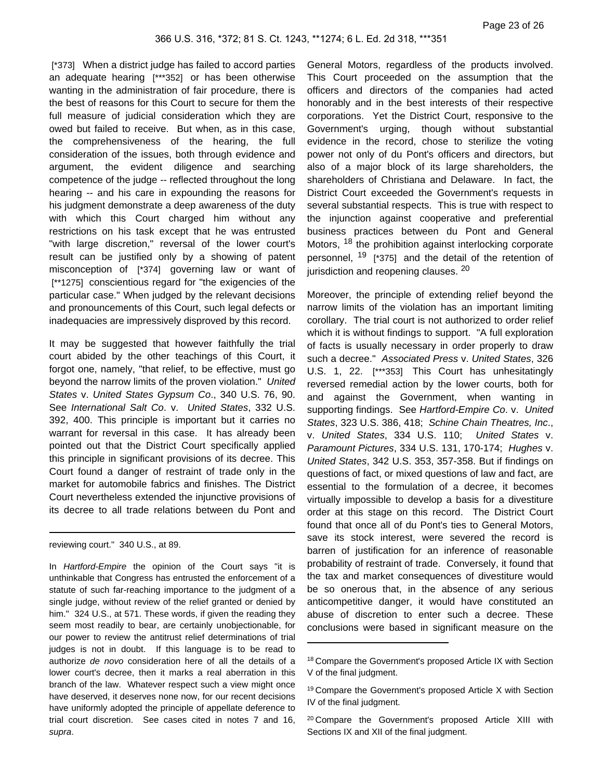[\*373] When a district judge has failed to accord parties an adequate hearing [\*\*\*352] or has been otherwise wanting in the administration of fair procedure, there is the best of reasons for this Court to secure for them the full measure of judicial consideration which they are owed but failed to receive. But when, as in this case, the comprehensiveness of the hearing, the full consideration of the issues, both through evidence and argument, the evident diligence and searching competence of the judge -- reflected throughout the long hearing -- and his care in expounding the reasons for his judgment demonstrate a deep awareness of the duty with which this Court charged him without any restrictions on his task except that he was entrusted "with large discretion," reversal of the lower court's result can be justified only by a showing of patent misconception of [\*374] governing law or want of [\*\*1275] conscientious regard for "the exigencies of the particular case." When judged by the relevant decisions and pronouncements of this Court, such legal defects or inadequacies are impressively disproved by this record.

It may be suggested that however faithfully the trial court abided by the other teachings of this Court, it forgot one, namely, "that relief, to be effective, must go beyond the narrow limits of the proven violation." United States v. United States Gypsum Co., 340 U.S. 76, 90. See International Salt Co. v. United States, 332 U.S. 392, 400. This principle is important but it carries no warrant for reversal in this case. It has already been pointed out that the District Court specifically applied this principle in significant provisions of its decree. This Court found a danger of restraint of trade only in the market for automobile fabrics and finishes. The District Court nevertheless extended the injunctive provisions of its decree to all trade relations between du Pont and

reviewing court." 340 U.S., at 89.

In *Hartford-Empire* the opinion of the Court says "it is unthinkable that Congress has entrusted the enforcement of a statute of such far-reaching importance to the judgment of a single judge, without review of the relief granted or denied by him." 324 U.S., at 571. These words, if given the reading they seem most readily to bear, are certainly unobjectionable, for our power to review the antitrust relief determinations of trial judges is not in doubt. If this language is to be read to authorize de novo consideration here of all the details of a lower court's decree, then it marks a real aberration in this branch of the law. Whatever respect such a view might once have deserved, it deserves none now, for our recent decisions have uniformly adopted the principle of appellate deference to trial court discretion. See cases cited in notes 7 and 16, supra.

General Motors, regardless of the products involved. This Court proceeded on the assumption that the officers and directors of the companies had acted honorably and in the best interests of their respective corporations. Yet the District Court, responsive to the Government's urging, though without substantial evidence in the record, chose to sterilize the voting power not only of du Pont's officers and directors, but also of a major block of its large shareholders, the shareholders of Christiana and Delaware. In fact, the District Court exceeded the Government's requests in several substantial respects. This is true with respect to the injunction against cooperative and preferential business practices between du Pont and General Motors, <sup>18</sup> the prohibition against interlocking corporate personnel. <sup>19</sup> [\*375] and the detail of the retention of jurisdiction and reopening clauses. 20

Moreover, the principle of extending relief beyond the narrow limits of the violation has an important limiting corollary. The trial court is not authorized to order relief which it is without findings to support. "A full exploration of facts is usually necessary in order properly to draw such a decree." Associated Press v. United States, 326 U.S. 1, 22. [\*\*\*353] This Court has unhesitatingly reversed remedial action by the lower courts, both for and against the Government, when wanting in supporting findings. See Hartford-Empire Co. v. United States, 323 U.S. 386, 418; Schine Chain Theatres, Inc., v. United States, 334 U.S. 110; United States v. Paramount Pictures, 334 U.S. 131, 170-174; Hughes v. United States, 342 U.S. 353, 357-358. But if findings on questions of fact, or mixed questions of law and fact, are essential to the formulation of a decree, it becomes virtually impossible to develop a basis for a divestiture order at this stage on this record. The District Court found that once all of du Pont's ties to General Motors, save its stock interest, were severed the record is barren of justification for an inference of reasonable probability of restraint of trade. Conversely, it found that the tax and market consequences of divestiture would be so onerous that, in the absence of any serious anticompetitive danger, it would have constituted an abuse of discretion to enter such a decree. These conclusions were based in significant measure on the

<sup>&</sup>lt;sup>18</sup> Compare the Government's proposed Article IX with Section V of the final judgment.

<sup>&</sup>lt;sup>19</sup> Compare the Government's proposed Article X with Section IV of the final judgment.

<sup>20</sup> Compare the Government's proposed Article XIII with Sections IX and XII of the final judgment.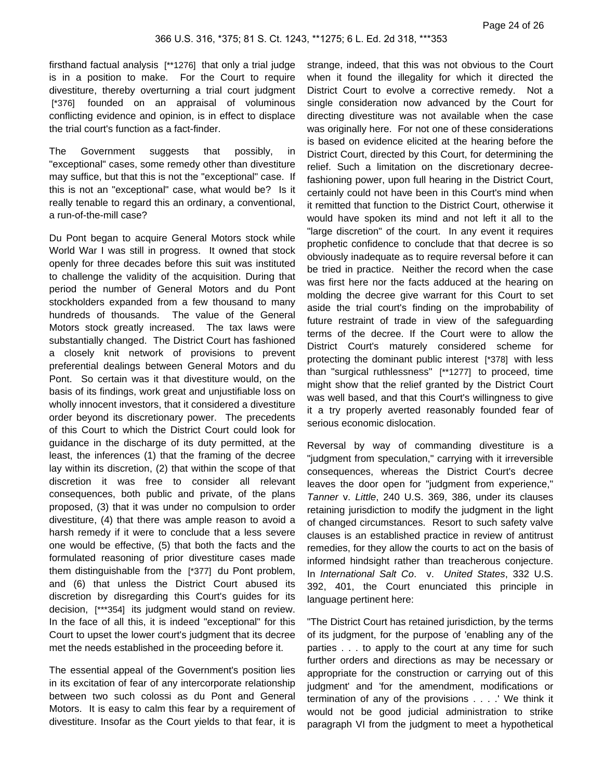firsthand factual analysis [\*\*1276] that only a trial judge is in a position to make. For the Court to require divestiture, thereby overturning a trial court judgment [\*376] founded on an appraisal of voluminous conflicting evidence and opinion, is in effect to displace the trial court's function as a fact-finder.

The Government suggests that possibly, in "exceptional" cases, some remedy other than divestiture may suffice, but that this is not the "exceptional" case. If this is not an "exceptional" case, what would be? Is it really tenable to regard this an ordinary, a conventional, a run-of-the-mill case?

Du Pont began to acquire General Motors stock while World War I was still in progress. It owned that stock openly for three decades before this suit was instituted to challenge the validity of the acquisition. During that period the number of General Motors and du Pont stockholders expanded from a few thousand to many hundreds of thousands. The value of the General Motors stock greatly increased. The tax laws were substantially changed. The District Court has fashioned a closely knit network of provisions to prevent preferential dealings between General Motors and du Pont. So certain was it that divestiture would, on the basis of its findings, work great and unjustifiable loss on wholly innocent investors, that it considered a divestiture order beyond its discretionary power. The precedents of this Court to which the District Court could look for guidance in the discharge of its duty permitted, at the least, the inferences (1) that the framing of the decree lay within its discretion, (2) that within the scope of that discretion it was free to consider all relevant consequences, both public and private, of the plans proposed, (3) that it was under no compulsion to order divestiture, (4) that there was ample reason to avoid a harsh remedy if it were to conclude that a less severe one would be effective, (5) that both the facts and the formulated reasoning of prior divestiture cases made them distinguishable from the [\*377] du Pont problem, and (6) that unless the District Court abused its discretion by disregarding this Court's guides for its decision, [\*\*\*354] its judgment would stand on review. In the face of all this, it is indeed "exceptional" for this Court to upset the lower court's judgment that its decree met the needs established in the proceeding before it.

The essential appeal of the Government's position lies in its excitation of fear of any intercorporate relationship between two such colossi as du Pont and General Motors. It is easy to calm this fear by a requirement of divestiture. Insofar as the Court yields to that fear, it is

strange, indeed, that this was not obvious to the Court when it found the illegality for which it directed the District Court to evolve a corrective remedy. Not a single consideration now advanced by the Court for directing divestiture was not available when the case was originally here. For not one of these considerations is based on evidence elicited at the hearing before the District Court, directed by this Court, for determining the relief. Such a limitation on the discretionary decreefashioning power, upon full hearing in the District Court, certainly could not have been in this Court's mind when it remitted that function to the District Court, otherwise it would have spoken its mind and not left it all to the "large discretion" of the court. In any event it requires prophetic confidence to conclude that that decree is so obviously inadequate as to require reversal before it can be tried in practice. Neither the record when the case was first here nor the facts adduced at the hearing on molding the decree give warrant for this Court to set aside the trial court's finding on the improbability of future restraint of trade in view of the safeguarding terms of the decree. If the Court were to allow the District Court's maturely considered scheme for protecting the dominant public interest [\*378] with less than "surgical ruthlessness" [\*\*1277] to proceed, time might show that the relief granted by the District Court was well based, and that this Court's willingness to give it a try properly averted reasonably founded fear of serious economic dislocation.

Reversal by way of commanding divestiture is a "judgment from speculation," carrying with it irreversible consequences, whereas the District Court's decree leaves the door open for "judgment from experience," Tanner v. Little, 240 U.S. 369, 386, under its clauses retaining jurisdiction to modify the judgment in the light of changed circumstances. Resort to such safety valve clauses is an established practice in review of antitrust remedies, for they allow the courts to act on the basis of informed hindsight rather than treacherous conjecture. In International Salt Co. v. United States, 332 U.S. 392, 401, the Court enunciated this principle in language pertinent here:

"The District Court has retained jurisdiction, by the terms of its judgment, for the purpose of 'enabling any of the parties . . . to apply to the court at any time for such further orders and directions as may be necessary or appropriate for the construction or carrying out of this judgment' and 'for the amendment, modifications or termination of any of the provisions . . . .' We think it would not be good judicial administration to strike paragraph VI from the judgment to meet a hypothetical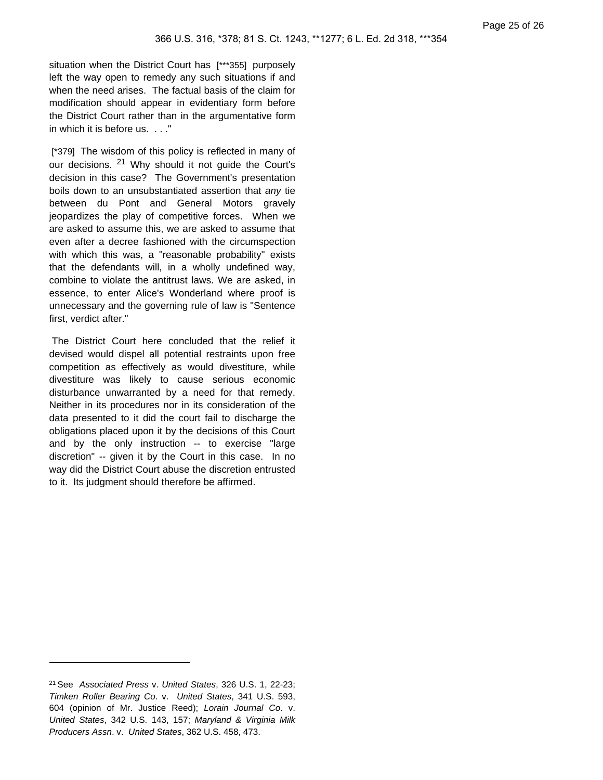situation when the District Court has [\*\*\*355] purposely left the way open to remedy any such situations if and when the need arises. The factual basis of the claim for modification should appear in evidentiary form before the District Court rather than in the argumentative form in which it is before us. . . ."

[\*379] The wisdom of this policy is reflected in many of our decisions. <sup>21</sup> Why should it not quide the Court's decision in this case? The Government's presentation boils down to an unsubstantiated assertion that any tie between du Pont and General Motors gravely jeopardizes the play of competitive forces. When we are asked to assume this, we are asked to assume that even after a decree fashioned with the circumspection with which this was, a "reasonable probability" exists that the defendants will, in a wholly undefined way, combine to violate the antitrust laws. We are asked, in essence, to enter Alice's Wonderland where proof is unnecessary and the governing rule of law is "Sentence first, verdict after."

The District Court here concluded that the relief it devised would dispel all potential restraints upon free competition as effectively as would divestiture, while divestiture was likely to cause serious economic disturbance unwarranted by a need for that remedy. Neither in its procedures nor in its consideration of the data presented to it did the court fail to discharge the obligations placed upon it by the decisions of this Court and by the only instruction -- to exercise "large discretion" -- given it by the Court in this case. In no way did the District Court abuse the discretion entrusted to it. Its judgment should therefore be affirmed.

<sup>21</sup> See Associated Press v. United States, 326 U.S. 1, 22-23; Timken Roller Bearing Co. v. United States, 341 U.S. 593, 604 (opinion of Mr. Justice Reed); Lorain Journal Co. v. United States, 342 U.S. 143, 157; Maryland & Virginia Milk Producers Assn. v. United States, 362 U.S. 458, 473.